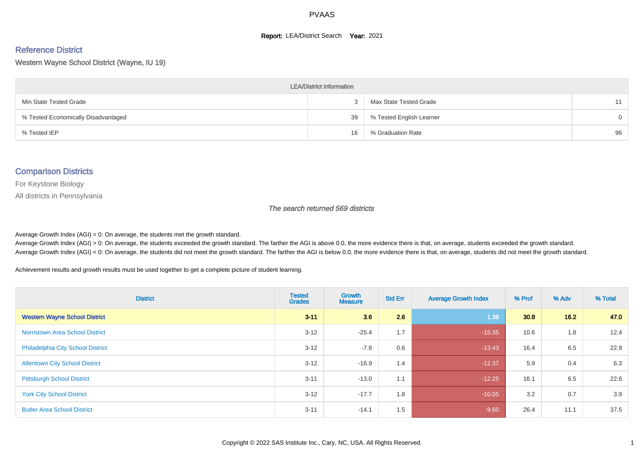#### **Report: LEA/District Search Year: 2021**

#### Reference District

Western Wayne School District (Wayne, IU 19)

| <b>LEA/District Information</b>     |    |                          |          |  |  |  |  |  |  |  |
|-------------------------------------|----|--------------------------|----------|--|--|--|--|--|--|--|
| Min State Tested Grade              |    | Max State Tested Grade   | 11       |  |  |  |  |  |  |  |
| % Tested Economically Disadvantaged | 39 | % Tested English Learner | $\Omega$ |  |  |  |  |  |  |  |
| % Tested IEP                        | 16 | % Graduation Rate        | 96       |  |  |  |  |  |  |  |

#### Comparison Districts

For Keystone Biology

All districts in Pennsylvania

The search returned 569 districts

Average Growth Index  $(AGI) = 0$ : On average, the students met the growth standard.

Average Growth Index (AGI) > 0: On average, the students exceeded the growth standard. The farther the AGI is above 0.0, the more evidence there is that, on average, students exceeded the growth standard. Average Growth Index (AGI) < 0: On average, the students did not meet the growth standard. The farther the AGI is below 0.0, the more evidence there is that, on average, students did not meet the growth standard.

Achievement results and growth results must be used together to get a complete picture of student learning.

| <b>District</b>                          | <b>Tested</b><br><b>Grades</b> | <b>Growth</b><br><b>Measure</b> | <b>Std Err</b> | <b>Average Growth Index</b> | % Prof | % Adv | % Total |
|------------------------------------------|--------------------------------|---------------------------------|----------------|-----------------------------|--------|-------|---------|
| <b>Western Wayne School District</b>     | $3 - 11$                       | 3.6                             | 2.6            | 1.39                        | 30.8   | 16.2  | 47.0    |
| <b>Norristown Area School District</b>   | $3 - 12$                       | $-25.4$                         | 1.7            | $-15.35$                    | 10.6   | 1.8   | 12.4    |
| <b>Philadelphia City School District</b> | $3 - 12$                       | $-7.8$                          | 0.6            | $-13.43$                    | 16.4   | 6.5   | 22.9    |
| <b>Allentown City School District</b>    | $3 - 12$                       | $-16.9$                         | 1.4            | $-12.37$                    | 5.9    | 0.4   | 6.3     |
| <b>Pittsburgh School District</b>        | $3 - 11$                       | $-13.0$                         | 1.1            | $-12.25$                    | 16.1   | 6.5   | 22.6    |
| <b>York City School District</b>         | $3 - 12$                       | $-17.7$                         | 1.8            | $-10.05$                    | 3.2    | 0.7   | 3.9     |
| <b>Butler Area School District</b>       | $3 - 11$                       | $-14.1$                         | 1.5            | $-9.60$                     | 26.4   | 11.1  | 37.5    |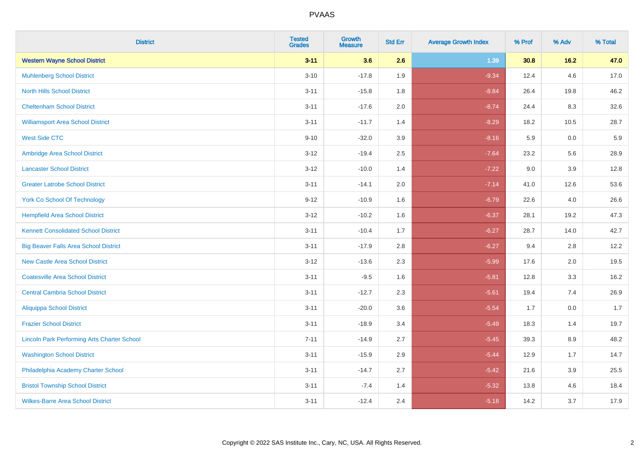| <b>District</b>                                    | <b>Tested</b><br><b>Grades</b> | <b>Growth</b><br><b>Measure</b> | <b>Std Err</b> | <b>Average Growth Index</b> | % Prof | % Adv   | % Total |
|----------------------------------------------------|--------------------------------|---------------------------------|----------------|-----------------------------|--------|---------|---------|
| <b>Western Wayne School District</b>               | $3 - 11$                       | 3.6                             | 2.6            | 1.39                        | 30.8   | 16.2    | 47.0    |
| <b>Muhlenberg School District</b>                  | $3 - 10$                       | $-17.8$                         | 1.9            | $-9.34$                     | 12.4   | 4.6     | 17.0    |
| <b>North Hills School District</b>                 | $3 - 11$                       | $-15.8$                         | 1.8            | $-8.84$                     | 26.4   | 19.8    | 46.2    |
| <b>Cheltenham School District</b>                  | $3 - 11$                       | $-17.6$                         | 2.0            | $-8.74$                     | 24.4   | 8.3     | 32.6    |
| <b>Williamsport Area School District</b>           | $3 - 11$                       | $-11.7$                         | 1.4            | $-8.29$                     | 18.2   | 10.5    | 28.7    |
| <b>West Side CTC</b>                               | $9 - 10$                       | $-32.0$                         | 3.9            | $-8.16$                     | 5.9    | 0.0     | 5.9     |
| Ambridge Area School District                      | $3 - 12$                       | $-19.4$                         | 2.5            | $-7.64$                     | 23.2   | 5.6     | 28.9    |
| <b>Lancaster School District</b>                   | $3 - 12$                       | $-10.0$                         | 1.4            | $-7.22$                     | 9.0    | 3.9     | 12.8    |
| <b>Greater Latrobe School District</b>             | $3 - 11$                       | $-14.1$                         | 2.0            | $-7.14$                     | 41.0   | 12.6    | 53.6    |
| <b>York Co School Of Technology</b>                | $9 - 12$                       | $-10.9$                         | 1.6            | $-6.79$                     | 22.6   | 4.0     | 26.6    |
| <b>Hempfield Area School District</b>              | $3 - 12$                       | $-10.2$                         | 1.6            | $-6.37$                     | 28.1   | 19.2    | 47.3    |
| <b>Kennett Consolidated School District</b>        | $3 - 11$                       | $-10.4$                         | 1.7            | $-6.27$                     | 28.7   | 14.0    | 42.7    |
| <b>Big Beaver Falls Area School District</b>       | $3 - 11$                       | $-17.9$                         | 2.8            | $-6.27$                     | 9.4    | 2.8     | 12.2    |
| <b>New Castle Area School District</b>             | $3 - 12$                       | $-13.6$                         | 2.3            | $-5.99$                     | 17.6   | 2.0     | 19.5    |
| <b>Coatesville Area School District</b>            | $3 - 11$                       | $-9.5$                          | 1.6            | $-5.81$                     | 12.8   | 3.3     | 16.2    |
| <b>Central Cambria School District</b>             | $3 - 11$                       | $-12.7$                         | 2.3            | $-5.61$                     | 19.4   | 7.4     | 26.9    |
| <b>Aliquippa School District</b>                   | $3 - 11$                       | $-20.0$                         | 3.6            | $-5.54$                     | 1.7    | 0.0     | 1.7     |
| <b>Frazier School District</b>                     | $3 - 11$                       | $-18.9$                         | 3.4            | $-5.49$                     | 18.3   | 1.4     | 19.7    |
| <b>Lincoln Park Performing Arts Charter School</b> | $7 - 11$                       | $-14.9$                         | 2.7            | $-5.45$                     | 39.3   | 8.9     | 48.2    |
| <b>Washington School District</b>                  | $3 - 11$                       | $-15.9$                         | 2.9            | $-5.44$                     | 12.9   | 1.7     | 14.7    |
| Philadelphia Academy Charter School                | $3 - 11$                       | $-14.7$                         | 2.7            | $-5.42$                     | 21.6   | $3.9\,$ | 25.5    |
| <b>Bristol Township School District</b>            | $3 - 11$                       | $-7.4$                          | 1.4            | $-5.32$                     | 13.8   | 4.6     | 18.4    |
| <b>Wilkes-Barre Area School District</b>           | $3 - 11$                       | $-12.4$                         | 2.4            | $-5.18$                     | 14.2   | 3.7     | 17.9    |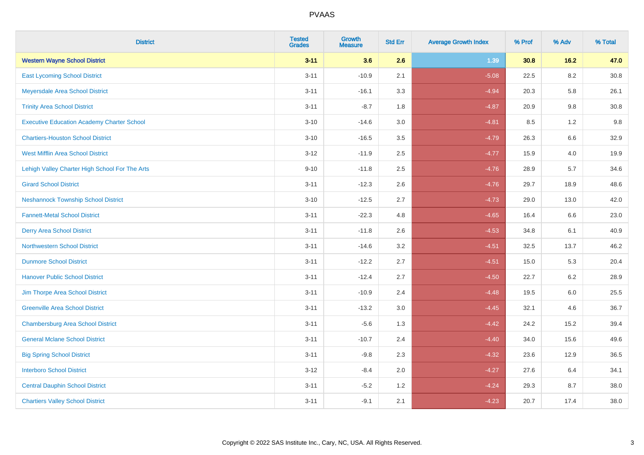| <b>District</b>                                   | <b>Tested</b><br><b>Grades</b> | <b>Growth</b><br><b>Measure</b> | <b>Std Err</b> | <b>Average Growth Index</b> | % Prof | % Adv   | % Total  |
|---------------------------------------------------|--------------------------------|---------------------------------|----------------|-----------------------------|--------|---------|----------|
| <b>Western Wayne School District</b>              | $3 - 11$                       | 3.6                             | 2.6            | 1.39                        | 30.8   | 16.2    | 47.0     |
| <b>East Lycoming School District</b>              | $3 - 11$                       | $-10.9$                         | 2.1            | $-5.08$                     | 22.5   | $8.2\,$ | $30.8\,$ |
| Meyersdale Area School District                   | $3 - 11$                       | $-16.1$                         | 3.3            | $-4.94$                     | 20.3   | 5.8     | 26.1     |
| <b>Trinity Area School District</b>               | $3 - 11$                       | $-8.7$                          | 1.8            | $-4.87$                     | 20.9   | 9.8     | 30.8     |
| <b>Executive Education Academy Charter School</b> | $3 - 10$                       | $-14.6$                         | 3.0            | $-4.81$                     | 8.5    | 1.2     | 9.8      |
| <b>Chartiers-Houston School District</b>          | $3 - 10$                       | $-16.5$                         | 3.5            | $-4.79$                     | 26.3   | 6.6     | 32.9     |
| <b>West Mifflin Area School District</b>          | $3 - 12$                       | $-11.9$                         | 2.5            | $-4.77$                     | 15.9   | 4.0     | 19.9     |
| Lehigh Valley Charter High School For The Arts    | $9 - 10$                       | $-11.8$                         | 2.5            | $-4.76$                     | 28.9   | 5.7     | 34.6     |
| <b>Girard School District</b>                     | $3 - 11$                       | $-12.3$                         | 2.6            | $-4.76$                     | 29.7   | 18.9    | 48.6     |
| <b>Neshannock Township School District</b>        | $3 - 10$                       | $-12.5$                         | 2.7            | $-4.73$                     | 29.0   | 13.0    | 42.0     |
| <b>Fannett-Metal School District</b>              | $3 - 11$                       | $-22.3$                         | 4.8            | $-4.65$                     | 16.4   | 6.6     | 23.0     |
| <b>Derry Area School District</b>                 | $3 - 11$                       | $-11.8$                         | 2.6            | $-4.53$                     | 34.8   | 6.1     | 40.9     |
| <b>Northwestern School District</b>               | $3 - 11$                       | $-14.6$                         | 3.2            | $-4.51$                     | 32.5   | 13.7    | 46.2     |
| <b>Dunmore School District</b>                    | $3 - 11$                       | $-12.2$                         | 2.7            | $-4.51$                     | 15.0   | 5.3     | 20.4     |
| <b>Hanover Public School District</b>             | $3 - 11$                       | $-12.4$                         | 2.7            | $-4.50$                     | 22.7   | 6.2     | 28.9     |
| Jim Thorpe Area School District                   | $3 - 11$                       | $-10.9$                         | 2.4            | $-4.48$                     | 19.5   | $6.0\,$ | 25.5     |
| <b>Greenville Area School District</b>            | $3 - 11$                       | $-13.2$                         | 3.0            | $-4.45$                     | 32.1   | 4.6     | 36.7     |
| <b>Chambersburg Area School District</b>          | $3 - 11$                       | $-5.6$                          | 1.3            | $-4.42$                     | 24.2   | 15.2    | 39.4     |
| <b>General Mclane School District</b>             | $3 - 11$                       | $-10.7$                         | 2.4            | $-4.40$                     | 34.0   | 15.6    | 49.6     |
| <b>Big Spring School District</b>                 | $3 - 11$                       | $-9.8$                          | 2.3            | $-4.32$                     | 23.6   | 12.9    | 36.5     |
| <b>Interboro School District</b>                  | $3 - 12$                       | $-8.4$                          | 2.0            | $-4.27$                     | 27.6   | 6.4     | 34.1     |
| <b>Central Dauphin School District</b>            | $3 - 11$                       | $-5.2$                          | 1.2            | $-4.24$                     | 29.3   | 8.7     | 38.0     |
| <b>Chartiers Valley School District</b>           | $3 - 11$                       | $-9.1$                          | 2.1            | $-4.23$                     | 20.7   | 17.4    | 38.0     |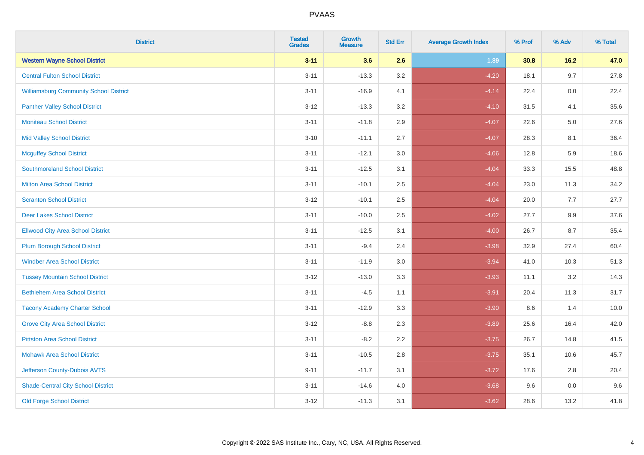| <b>District</b>                               | <b>Tested</b><br><b>Grades</b> | <b>Growth</b><br><b>Measure</b> | <b>Std Err</b> | <b>Average Growth Index</b> | % Prof | % Adv   | % Total |
|-----------------------------------------------|--------------------------------|---------------------------------|----------------|-----------------------------|--------|---------|---------|
| <b>Western Wayne School District</b>          | $3 - 11$                       | 3.6                             | 2.6            | 1.39                        | 30.8   | 16.2    | 47.0    |
| <b>Central Fulton School District</b>         | $3 - 11$                       | $-13.3$                         | 3.2            | $-4.20$                     | 18.1   | 9.7     | 27.8    |
| <b>Williamsburg Community School District</b> | $3 - 11$                       | $-16.9$                         | 4.1            | $-4.14$                     | 22.4   | 0.0     | 22.4    |
| <b>Panther Valley School District</b>         | $3 - 12$                       | $-13.3$                         | 3.2            | $-4.10$                     | 31.5   | 4.1     | 35.6    |
| <b>Moniteau School District</b>               | $3 - 11$                       | $-11.8$                         | 2.9            | $-4.07$                     | 22.6   | $5.0\,$ | 27.6    |
| <b>Mid Valley School District</b>             | $3 - 10$                       | $-11.1$                         | 2.7            | $-4.07$                     | 28.3   | 8.1     | 36.4    |
| <b>Mcguffey School District</b>               | $3 - 11$                       | $-12.1$                         | 3.0            | $-4.06$                     | 12.8   | 5.9     | 18.6    |
| <b>Southmoreland School District</b>          | $3 - 11$                       | $-12.5$                         | 3.1            | $-4.04$                     | 33.3   | 15.5    | 48.8    |
| <b>Milton Area School District</b>            | $3 - 11$                       | $-10.1$                         | 2.5            | $-4.04$                     | 23.0   | 11.3    | 34.2    |
| <b>Scranton School District</b>               | $3 - 12$                       | $-10.1$                         | 2.5            | $-4.04$                     | 20.0   | 7.7     | 27.7    |
| <b>Deer Lakes School District</b>             | $3 - 11$                       | $-10.0$                         | 2.5            | $-4.02$                     | 27.7   | 9.9     | 37.6    |
| <b>Ellwood City Area School District</b>      | $3 - 11$                       | $-12.5$                         | 3.1            | $-4.00$                     | 26.7   | 8.7     | 35.4    |
| <b>Plum Borough School District</b>           | $3 - 11$                       | $-9.4$                          | 2.4            | $-3.98$                     | 32.9   | 27.4    | 60.4    |
| <b>Windber Area School District</b>           | $3 - 11$                       | $-11.9$                         | 3.0            | $-3.94$                     | 41.0   | 10.3    | 51.3    |
| <b>Tussey Mountain School District</b>        | $3 - 12$                       | $-13.0$                         | 3.3            | $-3.93$                     | 11.1   | 3.2     | 14.3    |
| <b>Bethlehem Area School District</b>         | $3 - 11$                       | $-4.5$                          | 1.1            | $-3.91$                     | 20.4   | 11.3    | 31.7    |
| <b>Tacony Academy Charter School</b>          | $3 - 11$                       | $-12.9$                         | 3.3            | $-3.90$                     | 8.6    | 1.4     | 10.0    |
| <b>Grove City Area School District</b>        | $3 - 12$                       | $-8.8$                          | 2.3            | $-3.89$                     | 25.6   | 16.4    | 42.0    |
| <b>Pittston Area School District</b>          | $3 - 11$                       | $-8.2$                          | 2.2            | $-3.75$                     | 26.7   | 14.8    | 41.5    |
| <b>Mohawk Area School District</b>            | $3 - 11$                       | $-10.5$                         | 2.8            | $-3.75$                     | 35.1   | 10.6    | 45.7    |
| Jefferson County-Dubois AVTS                  | $9 - 11$                       | $-11.7$                         | 3.1            | $-3.72$                     | 17.6   | 2.8     | 20.4    |
| <b>Shade-Central City School District</b>     | $3 - 11$                       | $-14.6$                         | 4.0            | $-3.68$                     | 9.6    | 0.0     | 9.6     |
| <b>Old Forge School District</b>              | $3 - 12$                       | $-11.3$                         | 3.1            | $-3.62$                     | 28.6   | 13.2    | 41.8    |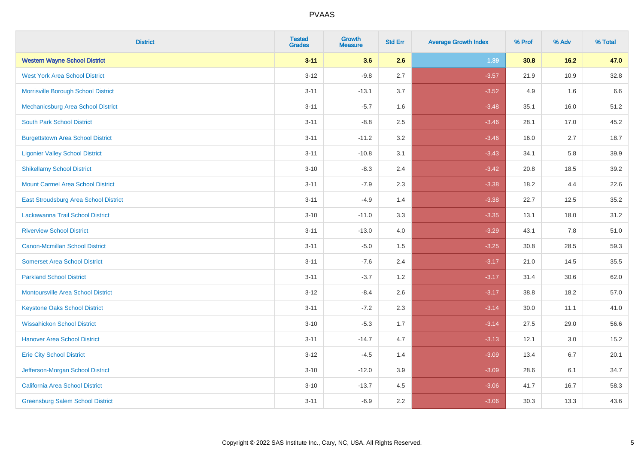| <b>District</b>                          | <b>Tested</b><br><b>Grades</b> | <b>Growth</b><br><b>Measure</b> | <b>Std Err</b> | <b>Average Growth Index</b> | % Prof | % Adv | % Total |
|------------------------------------------|--------------------------------|---------------------------------|----------------|-----------------------------|--------|-------|---------|
| <b>Western Wayne School District</b>     | $3 - 11$                       | 3.6                             | 2.6            | 1.39                        | 30.8   | 16.2  | 47.0    |
| <b>West York Area School District</b>    | $3 - 12$                       | $-9.8$                          | 2.7            | $-3.57$                     | 21.9   | 10.9  | 32.8    |
| Morrisville Borough School District      | $3 - 11$                       | $-13.1$                         | 3.7            | $-3.52$                     | 4.9    | 1.6   | 6.6     |
| Mechanicsburg Area School District       | $3 - 11$                       | $-5.7$                          | 1.6            | $-3.48$                     | 35.1   | 16.0  | 51.2    |
| <b>South Park School District</b>        | $3 - 11$                       | $-8.8$                          | 2.5            | $-3.46$                     | 28.1   | 17.0  | 45.2    |
| <b>Burgettstown Area School District</b> | $3 - 11$                       | $-11.2$                         | 3.2            | $-3.46$                     | 16.0   | 2.7   | 18.7    |
| <b>Ligonier Valley School District</b>   | $3 - 11$                       | $-10.8$                         | 3.1            | $-3.43$                     | 34.1   | 5.8   | 39.9    |
| <b>Shikellamy School District</b>        | $3 - 10$                       | $-8.3$                          | 2.4            | $-3.42$                     | 20.8   | 18.5  | 39.2    |
| <b>Mount Carmel Area School District</b> | $3 - 11$                       | $-7.9$                          | 2.3            | $-3.38$                     | 18.2   | 4.4   | 22.6    |
| East Stroudsburg Area School District    | $3 - 11$                       | $-4.9$                          | 1.4            | $-3.38$                     | 22.7   | 12.5  | 35.2    |
| Lackawanna Trail School District         | $3 - 10$                       | $-11.0$                         | 3.3            | $-3.35$                     | 13.1   | 18.0  | 31.2    |
| <b>Riverview School District</b>         | $3 - 11$                       | $-13.0$                         | 4.0            | $-3.29$                     | 43.1   | 7.8   | 51.0    |
| <b>Canon-Mcmillan School District</b>    | $3 - 11$                       | $-5.0$                          | 1.5            | $-3.25$                     | 30.8   | 28.5  | 59.3    |
| <b>Somerset Area School District</b>     | $3 - 11$                       | $-7.6$                          | 2.4            | $-3.17$                     | 21.0   | 14.5  | 35.5    |
| <b>Parkland School District</b>          | $3 - 11$                       | $-3.7$                          | 1.2            | $-3.17$                     | 31.4   | 30.6  | 62.0    |
| Montoursville Area School District       | $3 - 12$                       | $-8.4$                          | 2.6            | $-3.17$                     | 38.8   | 18.2  | 57.0    |
| <b>Keystone Oaks School District</b>     | $3 - 11$                       | $-7.2$                          | 2.3            | $-3.14$                     | 30.0   | 11.1  | 41.0    |
| <b>Wissahickon School District</b>       | $3 - 10$                       | $-5.3$                          | 1.7            | $-3.14$                     | 27.5   | 29.0  | 56.6    |
| <b>Hanover Area School District</b>      | $3 - 11$                       | $-14.7$                         | 4.7            | $-3.13$                     | 12.1   | 3.0   | 15.2    |
| <b>Erie City School District</b>         | $3 - 12$                       | $-4.5$                          | 1.4            | $-3.09$                     | 13.4   | 6.7   | 20.1    |
| Jefferson-Morgan School District         | $3 - 10$                       | $-12.0$                         | 3.9            | $-3.09$                     | 28.6   | 6.1   | 34.7    |
| California Area School District          | $3 - 10$                       | $-13.7$                         | 4.5            | $-3.06$                     | 41.7   | 16.7  | 58.3    |
| <b>Greensburg Salem School District</b>  | $3 - 11$                       | $-6.9$                          | 2.2            | $-3.06$                     | 30.3   | 13.3  | 43.6    |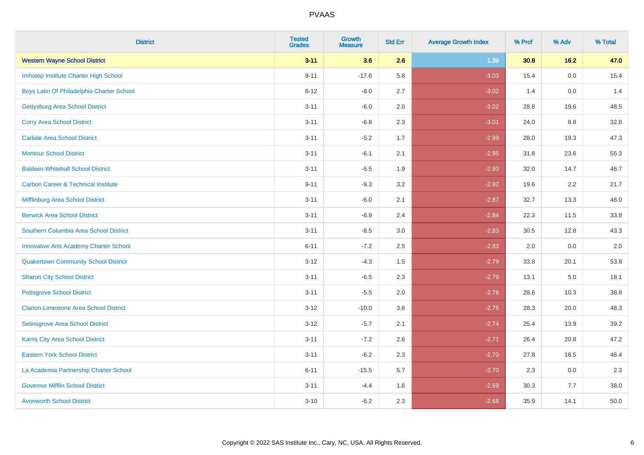| <b>District</b>                                | <b>Tested</b><br><b>Grades</b> | <b>Growth</b><br><b>Measure</b> | <b>Std Err</b> | <b>Average Growth Index</b> | % Prof | % Adv   | % Total |
|------------------------------------------------|--------------------------------|---------------------------------|----------------|-----------------------------|--------|---------|---------|
| <b>Western Wayne School District</b>           | $3 - 11$                       | 3.6                             | 2.6            | 1.39                        | 30.8   | 16.2    | 47.0    |
| Imhotep Institute Charter High School          | $9 - 11$                       | $-17.6$                         | 5.8            | $-3.03$                     | 15.4   | 0.0     | 15.4    |
| Boys Latin Of Philadelphia Charter School      | $6 - 12$                       | $-8.0$                          | 2.7            | $-3.02$                     | 1.4    | 0.0     | 1.4     |
| <b>Gettysburg Area School District</b>         | $3 - 11$                       | $-6.0$                          | 2.0            | $-3.02$                     | 28.8   | 19.6    | 48.5    |
| <b>Corry Area School District</b>              | $3 - 11$                       | $-6.8$                          | 2.3            | $-3.01$                     | 24.0   | 8.8     | 32.8    |
| <b>Carlisle Area School District</b>           | $3 - 11$                       | $-5.2$                          | 1.7            | $-2.99$                     | 28.0   | 19.3    | 47.3    |
| <b>Montour School District</b>                 | $3 - 11$                       | $-6.1$                          | 2.1            | $-2.95$                     | 31.8   | 23.6    | 55.3    |
| <b>Baldwin-Whitehall School District</b>       | $3 - 11$                       | $-5.5$                          | 1.9            | $-2.93$                     | 32.0   | 14.7    | 46.7    |
| <b>Carbon Career &amp; Technical Institute</b> | $9 - 11$                       | $-9.3$                          | 3.2            | $-2.92$                     | 19.6   | 2.2     | 21.7    |
| <b>Mifflinburg Area School District</b>        | $3 - 11$                       | $-6.0$                          | 2.1            | $-2.87$                     | 32.7   | 13.3    | 46.0    |
| <b>Berwick Area School District</b>            | $3 - 11$                       | $-6.9$                          | 2.4            | $-2.84$                     | 22.3   | 11.5    | 33.8    |
| Southern Columbia Area School District         | $3 - 11$                       | $-8.5$                          | 3.0            | $-2.83$                     | 30.5   | 12.8    | 43.3    |
| <b>Innovative Arts Academy Charter School</b>  | $6 - 11$                       | $-7.2$                          | 2.5            | $-2.83$                     | 2.0    | 0.0     | $2.0\,$ |
| <b>Quakertown Community School District</b>    | $3 - 12$                       | $-4.3$                          | 1.5            | $-2.79$                     | 33.8   | 20.1    | 53.8    |
| <b>Sharon City School District</b>             | $3 - 11$                       | $-6.5$                          | 2.3            | $-2.79$                     | 13.1   | $5.0\,$ | 18.1    |
| <b>Pottsgrove School District</b>              | $3 - 11$                       | $-5.5$                          | 2.0            | $-2.78$                     | 28.6   | 10.3    | 38.8    |
| <b>Clarion-Limestone Area School District</b>  | $3 - 12$                       | $-10.0$                         | 3.6            | $-2.76$                     | 28.3   | 20.0    | 48.3    |
| Selinsgrove Area School District               | $3 - 12$                       | $-5.7$                          | 2.1            | $-2.74$                     | 25.4   | 13.9    | 39.2    |
| Karns City Area School District                | $3 - 11$                       | $-7.2$                          | 2.6            | $-2.71$                     | 26.4   | 20.8    | 47.2    |
| <b>Eastern York School District</b>            | $3 - 11$                       | $-6.2$                          | 2.3            | $-2.70$                     | 27.8   | 18.5    | 46.4    |
| La Academia Partnership Charter School         | $6 - 11$                       | $-15.5$                         | 5.7            | $-2.70$                     | 2.3    | 0.0     | 2.3     |
| <b>Governor Mifflin School District</b>        | $3 - 11$                       | $-4.4$                          | 1.6            | $-2.69$                     | 30.3   | 7.7     | 38.0    |
| <b>Avonworth School District</b>               | $3 - 10$                       | $-6.2$                          | 2.3            | $-2.68$                     | 35.9   | 14.1    | 50.0    |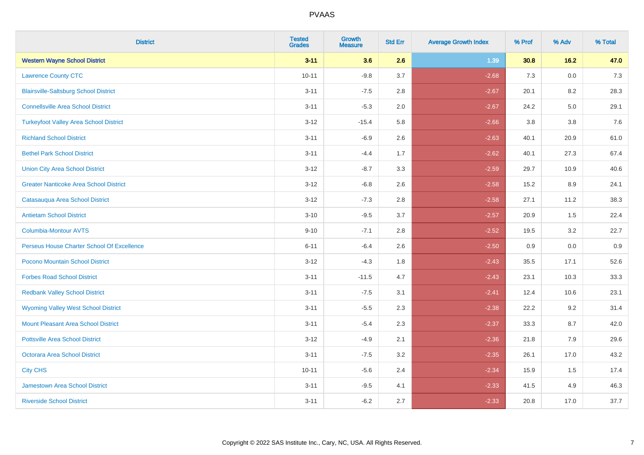| <b>District</b>                               | <b>Tested</b><br><b>Grades</b> | <b>Growth</b><br><b>Measure</b> | <b>Std Err</b> | <b>Average Growth Index</b> | % Prof | % Adv | % Total |
|-----------------------------------------------|--------------------------------|---------------------------------|----------------|-----------------------------|--------|-------|---------|
| <b>Western Wayne School District</b>          | $3 - 11$                       | 3.6                             | 2.6            | 1.39                        | 30.8   | 16.2  | 47.0    |
| <b>Lawrence County CTC</b>                    | $10 - 11$                      | $-9.8$                          | 3.7            | $-2.68$                     | 7.3    | 0.0   | $7.3$   |
| <b>Blairsville-Saltsburg School District</b>  | $3 - 11$                       | $-7.5$                          | 2.8            | $-2.67$                     | 20.1   | 8.2   | 28.3    |
| <b>Connellsville Area School District</b>     | $3 - 11$                       | $-5.3$                          | 2.0            | $-2.67$                     | 24.2   | 5.0   | 29.1    |
| <b>Turkeyfoot Valley Area School District</b> | $3 - 12$                       | $-15.4$                         | 5.8            | $-2.66$                     | 3.8    | 3.8   | 7.6     |
| <b>Richland School District</b>               | $3 - 11$                       | $-6.9$                          | 2.6            | $-2.63$                     | 40.1   | 20.9  | 61.0    |
| <b>Bethel Park School District</b>            | $3 - 11$                       | $-4.4$                          | 1.7            | $-2.62$                     | 40.1   | 27.3  | 67.4    |
| <b>Union City Area School District</b>        | $3 - 12$                       | $-8.7$                          | 3.3            | $-2.59$                     | 29.7   | 10.9  | 40.6    |
| <b>Greater Nanticoke Area School District</b> | $3 - 12$                       | $-6.8$                          | 2.6            | $-2.58$                     | 15.2   | 8.9   | 24.1    |
| Catasauqua Area School District               | $3 - 12$                       | $-7.3$                          | 2.8            | $-2.58$                     | 27.1   | 11.2  | 38.3    |
| <b>Antietam School District</b>               | $3 - 10$                       | $-9.5$                          | 3.7            | $-2.57$                     | 20.9   | 1.5   | 22.4    |
| Columbia-Montour AVTS                         | $9 - 10$                       | $-7.1$                          | 2.8            | $-2.52$                     | 19.5   | 3.2   | 22.7    |
| Perseus House Charter School Of Excellence    | $6 - 11$                       | $-6.4$                          | 2.6            | $-2.50$                     | 0.9    | 0.0   | 0.9     |
| Pocono Mountain School District               | $3 - 12$                       | $-4.3$                          | 1.8            | $-2.43$                     | 35.5   | 17.1  | 52.6    |
| <b>Forbes Road School District</b>            | $3 - 11$                       | $-11.5$                         | 4.7            | $-2.43$                     | 23.1   | 10.3  | 33.3    |
| <b>Redbank Valley School District</b>         | $3 - 11$                       | $-7.5$                          | 3.1            | $-2.41$                     | 12.4   | 10.6  | 23.1    |
| <b>Wyoming Valley West School District</b>    | $3 - 11$                       | $-5.5$                          | 2.3            | $-2.38$                     | 22.2   | 9.2   | 31.4    |
| Mount Pleasant Area School District           | $3 - 11$                       | $-5.4$                          | 2.3            | $-2.37$                     | 33.3   | 8.7   | 42.0    |
| <b>Pottsville Area School District</b>        | $3 - 12$                       | $-4.9$                          | 2.1            | $-2.36$                     | 21.8   | 7.9   | 29.6    |
| <b>Octorara Area School District</b>          | $3 - 11$                       | $-7.5$                          | 3.2            | $-2.35$                     | 26.1   | 17.0  | 43.2    |
| <b>City CHS</b>                               | $10 - 11$                      | $-5.6$                          | 2.4            | $-2.34$                     | 15.9   | 1.5   | 17.4    |
| <b>Jamestown Area School District</b>         | $3 - 11$                       | $-9.5$                          | 4.1            | $-2.33$                     | 41.5   | 4.9   | 46.3    |
| <b>Riverside School District</b>              | $3 - 11$                       | $-6.2$                          | 2.7            | $-2.33$                     | 20.8   | 17.0  | 37.7    |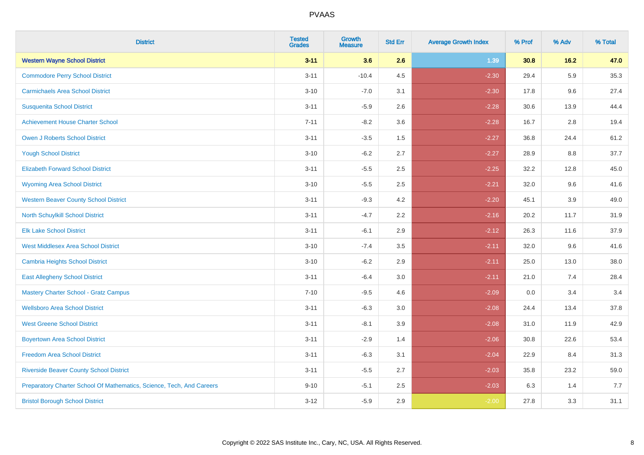| <b>District</b>                                                       | <b>Tested</b><br><b>Grades</b> | <b>Growth</b><br><b>Measure</b> | <b>Std Err</b> | <b>Average Growth Index</b> | % Prof | % Adv   | % Total |
|-----------------------------------------------------------------------|--------------------------------|---------------------------------|----------------|-----------------------------|--------|---------|---------|
| <b>Western Wayne School District</b>                                  | $3 - 11$                       | 3.6                             | 2.6            | 1.39                        | 30.8   | 16.2    | 47.0    |
| <b>Commodore Perry School District</b>                                | $3 - 11$                       | $-10.4$                         | 4.5            | $-2.30$                     | 29.4   | 5.9     | 35.3    |
| <b>Carmichaels Area School District</b>                               | $3 - 10$                       | $-7.0$                          | 3.1            | $-2.30$                     | 17.8   | 9.6     | 27.4    |
| <b>Susquenita School District</b>                                     | $3 - 11$                       | $-5.9$                          | 2.6            | $-2.28$                     | 30.6   | 13.9    | 44.4    |
| <b>Achievement House Charter School</b>                               | $7 - 11$                       | $-8.2$                          | 3.6            | $-2.28$                     | 16.7   | 2.8     | 19.4    |
| <b>Owen J Roberts School District</b>                                 | $3 - 11$                       | $-3.5$                          | 1.5            | $-2.27$                     | 36.8   | 24.4    | 61.2    |
| <b>Yough School District</b>                                          | $3 - 10$                       | $-6.2$                          | 2.7            | $-2.27$                     | 28.9   | $8.8\,$ | 37.7    |
| <b>Elizabeth Forward School District</b>                              | $3 - 11$                       | $-5.5$                          | 2.5            | $-2.25$                     | 32.2   | 12.8    | 45.0    |
| <b>Wyoming Area School District</b>                                   | $3 - 10$                       | $-5.5$                          | 2.5            | $-2.21$                     | 32.0   | 9.6     | 41.6    |
| <b>Western Beaver County School District</b>                          | $3 - 11$                       | $-9.3$                          | 4.2            | $-2.20$                     | 45.1   | 3.9     | 49.0    |
| North Schuylkill School District                                      | $3 - 11$                       | $-4.7$                          | 2.2            | $-2.16$                     | 20.2   | 11.7    | 31.9    |
| <b>Elk Lake School District</b>                                       | $3 - 11$                       | $-6.1$                          | 2.9            | $-2.12$                     | 26.3   | 11.6    | 37.9    |
| <b>West Middlesex Area School District</b>                            | $3 - 10$                       | $-7.4$                          | $3.5\,$        | $-2.11$                     | 32.0   | 9.6     | 41.6    |
| <b>Cambria Heights School District</b>                                | $3 - 10$                       | $-6.2$                          | 2.9            | $-2.11$                     | 25.0   | 13.0    | 38.0    |
| <b>East Allegheny School District</b>                                 | $3 - 11$                       | $-6.4$                          | 3.0            | $-2.11$                     | 21.0   | 7.4     | 28.4    |
| <b>Mastery Charter School - Gratz Campus</b>                          | $7 - 10$                       | $-9.5$                          | 4.6            | $-2.09$                     | 0.0    | 3.4     | 3.4     |
| <b>Wellsboro Area School District</b>                                 | $3 - 11$                       | $-6.3$                          | 3.0            | $-2.08$                     | 24.4   | 13.4    | 37.8    |
| <b>West Greene School District</b>                                    | $3 - 11$                       | $-8.1$                          | 3.9            | $-2.08$                     | 31.0   | 11.9    | 42.9    |
| <b>Boyertown Area School District</b>                                 | $3 - 11$                       | $-2.9$                          | 1.4            | $-2.06$                     | 30.8   | 22.6    | 53.4    |
| <b>Freedom Area School District</b>                                   | $3 - 11$                       | $-6.3$                          | 3.1            | $-2.04$                     | 22.9   | 8.4     | 31.3    |
| <b>Riverside Beaver County School District</b>                        | $3 - 11$                       | $-5.5$                          | 2.7            | $-2.03$                     | 35.8   | 23.2    | 59.0    |
| Preparatory Charter School Of Mathematics, Science, Tech, And Careers | $9 - 10$                       | $-5.1$                          | 2.5            | $-2.03$                     | 6.3    | 1.4     | 7.7     |
| <b>Bristol Borough School District</b>                                | $3 - 12$                       | $-5.9$                          | 2.9            | $-2.00$                     | 27.8   | 3.3     | 31.1    |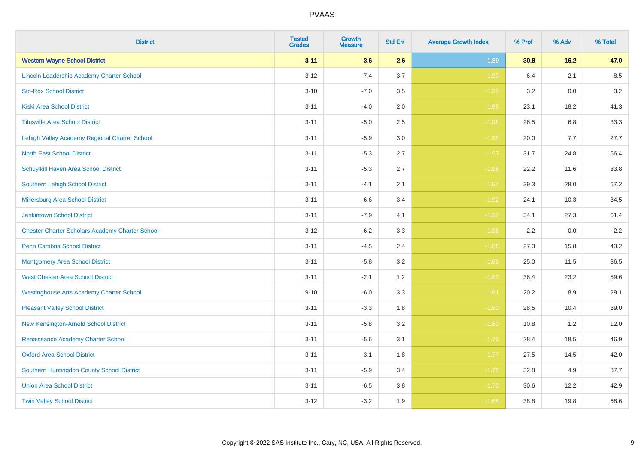| <b>District</b>                                        | <b>Tested</b><br><b>Grades</b> | <b>Growth</b><br><b>Measure</b> | <b>Std Err</b> | <b>Average Growth Index</b> | % Prof | % Adv | % Total |
|--------------------------------------------------------|--------------------------------|---------------------------------|----------------|-----------------------------|--------|-------|---------|
| <b>Western Wayne School District</b>                   | $3 - 11$                       | 3.6                             | 2.6            | 1.39                        | 30.8   | 16.2  | 47.0    |
| Lincoln Leadership Academy Charter School              | $3 - 12$                       | $-7.4$                          | 3.7            | $-1.99$                     | 6.4    | 2.1   | 8.5     |
| <b>Sto-Rox School District</b>                         | $3 - 10$                       | $-7.0$                          | 3.5            | $-1.99$                     | 3.2    | 0.0   | 3.2     |
| <b>Kiski Area School District</b>                      | $3 - 11$                       | $-4.0$                          | 2.0            | $-1.99$                     | 23.1   | 18.2  | 41.3    |
| <b>Titusville Area School District</b>                 | $3 - 11$                       | $-5.0$                          | 2.5            | $-1.98$                     | 26.5   | 6.8   | 33.3    |
| Lehigh Valley Academy Regional Charter School          | $3 - 11$                       | $-5.9$                          | 3.0            | $-1.98$                     | 20.0   | 7.7   | 27.7    |
| <b>North East School District</b>                      | $3 - 11$                       | $-5.3$                          | 2.7            | $-1.97$                     | 31.7   | 24.8  | 56.4    |
| Schuylkill Haven Area School District                  | $3 - 11$                       | $-5.3$                          | 2.7            | $-1.96$                     | 22.2   | 11.6  | 33.8    |
| Southern Lehigh School District                        | $3 - 11$                       | $-4.1$                          | 2.1            | $-1.94$                     | 39.3   | 28.0  | 67.2    |
| Millersburg Area School District                       | $3 - 11$                       | $-6.6$                          | 3.4            | $-1.92$                     | 24.1   | 10.3  | 34.5    |
| Jenkintown School District                             | $3 - 11$                       | $-7.9$                          | 4.1            | $-1.92$                     | 34.1   | 27.3  | 61.4    |
| <b>Chester Charter Scholars Academy Charter School</b> | $3 - 12$                       | $-6.2$                          | 3.3            | $-1.88$                     | 2.2    | 0.0   | 2.2     |
| <b>Penn Cambria School District</b>                    | $3 - 11$                       | $-4.5$                          | 2.4            | $-1.86$                     | 27.3   | 15.8  | 43.2    |
| <b>Montgomery Area School District</b>                 | $3 - 11$                       | $-5.8$                          | 3.2            | $-1.83$                     | 25.0   | 11.5  | 36.5    |
| <b>West Chester Area School District</b>               | $3 - 11$                       | $-2.1$                          | 1.2            | $-1.83$                     | 36.4   | 23.2  | 59.6    |
| <b>Westinghouse Arts Academy Charter School</b>        | $9 - 10$                       | $-6.0$                          | 3.3            | $-1.81$                     | 20.2   | 8.9   | 29.1    |
| <b>Pleasant Valley School District</b>                 | $3 - 11$                       | $-3.3$                          | 1.8            | $-1.80$                     | 28.5   | 10.4  | 39.0    |
| New Kensington-Arnold School District                  | $3 - 11$                       | $-5.8$                          | 3.2            | $-1.80$                     | 10.8   | 1.2   | 12.0    |
| Renaissance Academy Charter School                     | $3 - 11$                       | $-5.6$                          | 3.1            | $-1.79$                     | 28.4   | 18.5  | 46.9    |
| <b>Oxford Area School District</b>                     | $3 - 11$                       | $-3.1$                          | 1.8            | $-1.77$                     | 27.5   | 14.5  | 42.0    |
| Southern Huntingdon County School District             | $3 - 11$                       | $-5.9$                          | 3.4            | $-1.76$                     | 32.8   | 4.9   | 37.7    |
| <b>Union Area School District</b>                      | $3 - 11$                       | $-6.5$                          | 3.8            | $-1.70$                     | 30.6   | 12.2  | 42.9    |
| <b>Twin Valley School District</b>                     | $3 - 12$                       | $-3.2$                          | 1.9            | $-1.68$                     | 38.8   | 19.8  | 58.6    |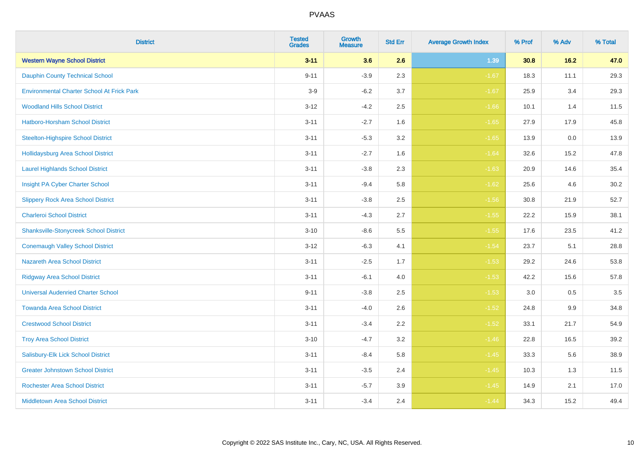| <b>District</b>                                   | <b>Tested</b><br><b>Grades</b> | <b>Growth</b><br><b>Measure</b> | <b>Std Err</b> | <b>Average Growth Index</b> | % Prof | % Adv  | % Total |
|---------------------------------------------------|--------------------------------|---------------------------------|----------------|-----------------------------|--------|--------|---------|
| <b>Western Wayne School District</b>              | $3 - 11$                       | 3.6                             | 2.6            | 1.39                        | 30.8   | $16.2$ | 47.0    |
| <b>Dauphin County Technical School</b>            | $9 - 11$                       | $-3.9$                          | 2.3            | $-1.67$                     | 18.3   | 11.1   | 29.3    |
| <b>Environmental Charter School At Frick Park</b> | $3-9$                          | $-6.2$                          | 3.7            | $-1.67$                     | 25.9   | 3.4    | 29.3    |
| <b>Woodland Hills School District</b>             | $3 - 12$                       | $-4.2$                          | 2.5            | $-1.66$                     | 10.1   | 1.4    | 11.5    |
| Hatboro-Horsham School District                   | $3 - 11$                       | $-2.7$                          | 1.6            | $-1.65$                     | 27.9   | 17.9   | 45.8    |
| <b>Steelton-Highspire School District</b>         | $3 - 11$                       | $-5.3$                          | 3.2            | $-1.65$                     | 13.9   | 0.0    | 13.9    |
| <b>Hollidaysburg Area School District</b>         | $3 - 11$                       | $-2.7$                          | 1.6            | $-1.64$                     | 32.6   | 15.2   | 47.8    |
| <b>Laurel Highlands School District</b>           | $3 - 11$                       | $-3.8$                          | 2.3            | $-1.63$                     | 20.9   | 14.6   | 35.4    |
| Insight PA Cyber Charter School                   | $3 - 11$                       | $-9.4$                          | 5.8            | $-1.62$                     | 25.6   | 4.6    | 30.2    |
| <b>Slippery Rock Area School District</b>         | $3 - 11$                       | $-3.8$                          | 2.5            | $-1.56$                     | 30.8   | 21.9   | 52.7    |
| <b>Charleroi School District</b>                  | $3 - 11$                       | $-4.3$                          | 2.7            | $-1.55$                     | 22.2   | 15.9   | 38.1    |
| <b>Shanksville-Stonycreek School District</b>     | $3 - 10$                       | $-8.6$                          | 5.5            | $-1.55$                     | 17.6   | 23.5   | 41.2    |
| <b>Conemaugh Valley School District</b>           | $3 - 12$                       | $-6.3$                          | 4.1            | $-1.54$                     | 23.7   | 5.1    | 28.8    |
| <b>Nazareth Area School District</b>              | $3 - 11$                       | $-2.5$                          | 1.7            | $-1.53$                     | 29.2   | 24.6   | 53.8    |
| <b>Ridgway Area School District</b>               | $3 - 11$                       | $-6.1$                          | 4.0            | $-1.53$                     | 42.2   | 15.6   | 57.8    |
| <b>Universal Audenried Charter School</b>         | $9 - 11$                       | $-3.8$                          | 2.5            | $-1.53$                     | 3.0    | 0.5    | 3.5     |
| <b>Towanda Area School District</b>               | $3 - 11$                       | $-4.0$                          | 2.6            | $-1.52$                     | 24.8   | 9.9    | 34.8    |
| <b>Crestwood School District</b>                  | $3 - 11$                       | $-3.4$                          | 2.2            | $-1.52$                     | 33.1   | 21.7   | 54.9    |
| <b>Troy Area School District</b>                  | $3 - 10$                       | $-4.7$                          | 3.2            | $-1.46$                     | 22.8   | 16.5   | 39.2    |
| Salisbury-Elk Lick School District                | $3 - 11$                       | $-8.4$                          | 5.8            | $-1.45$                     | 33.3   | 5.6    | 38.9    |
| <b>Greater Johnstown School District</b>          | $3 - 11$                       | $-3.5$                          | 2.4            | $-1.45$                     | 10.3   | 1.3    | 11.5    |
| <b>Rochester Area School District</b>             | $3 - 11$                       | $-5.7$                          | 3.9            | $-1.45$                     | 14.9   | 2.1    | 17.0    |
| <b>Middletown Area School District</b>            | $3 - 11$                       | $-3.4$                          | 2.4            | $-1.44$                     | 34.3   | 15.2   | 49.4    |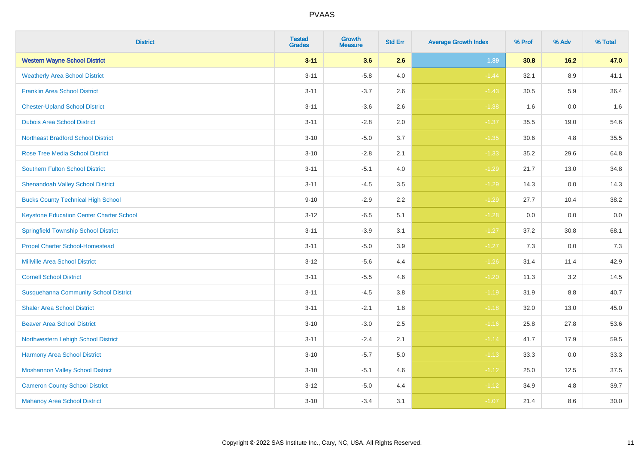| <b>District</b>                                 | <b>Tested</b><br><b>Grades</b> | <b>Growth</b><br><b>Measure</b> | <b>Std Err</b> | <b>Average Growth Index</b> | % Prof | % Adv   | % Total |
|-------------------------------------------------|--------------------------------|---------------------------------|----------------|-----------------------------|--------|---------|---------|
| <b>Western Wayne School District</b>            | $3 - 11$                       | 3.6                             | 2.6            | 1.39                        | 30.8   | 16.2    | 47.0    |
| <b>Weatherly Area School District</b>           | $3 - 11$                       | $-5.8$                          | 4.0            | $-1.44$                     | 32.1   | $8.9\,$ | 41.1    |
| <b>Franklin Area School District</b>            | $3 - 11$                       | $-3.7$                          | 2.6            | $-1.43$                     | 30.5   | 5.9     | 36.4    |
| <b>Chester-Upland School District</b>           | $3 - 11$                       | $-3.6$                          | 2.6            | $-1.38$                     | 1.6    | $0.0\,$ | 1.6     |
| <b>Dubois Area School District</b>              | $3 - 11$                       | $-2.8$                          | 2.0            | $-1.37$                     | 35.5   | 19.0    | 54.6    |
| <b>Northeast Bradford School District</b>       | $3 - 10$                       | $-5.0$                          | 3.7            | $-1.35$                     | 30.6   | 4.8     | 35.5    |
| <b>Rose Tree Media School District</b>          | $3 - 10$                       | $-2.8$                          | 2.1            | $-1.33$                     | 35.2   | 29.6    | 64.8    |
| <b>Southern Fulton School District</b>          | $3 - 11$                       | $-5.1$                          | 4.0            | $-1.29$                     | 21.7   | 13.0    | 34.8    |
| <b>Shenandoah Valley School District</b>        | $3 - 11$                       | $-4.5$                          | 3.5            | $-1.29$                     | 14.3   | 0.0     | 14.3    |
| <b>Bucks County Technical High School</b>       | $9 - 10$                       | $-2.9$                          | 2.2            | $-1.29$                     | 27.7   | 10.4    | 38.2    |
| <b>Keystone Education Center Charter School</b> | $3 - 12$                       | $-6.5$                          | 5.1            | $-1.28$                     | 0.0    | 0.0     | $0.0\,$ |
| <b>Springfield Township School District</b>     | $3 - 11$                       | $-3.9$                          | 3.1            | $-1.27$                     | 37.2   | 30.8    | 68.1    |
| <b>Propel Charter School-Homestead</b>          | $3 - 11$                       | $-5.0$                          | 3.9            | $-1.27$                     | 7.3    | 0.0     | $7.3$   |
| <b>Millville Area School District</b>           | $3 - 12$                       | $-5.6$                          | 4.4            | $-1.26$                     | 31.4   | 11.4    | 42.9    |
| <b>Cornell School District</b>                  | $3 - 11$                       | $-5.5$                          | 4.6            | $-1.20$                     | 11.3   | 3.2     | 14.5    |
| <b>Susquehanna Community School District</b>    | $3 - 11$                       | $-4.5$                          | $3.8\,$        | $-1.19$                     | 31.9   | $8.8\,$ | 40.7    |
| <b>Shaler Area School District</b>              | $3 - 11$                       | $-2.1$                          | 1.8            | $-1.18$                     | 32.0   | 13.0    | 45.0    |
| <b>Beaver Area School District</b>              | $3 - 10$                       | $-3.0$                          | 2.5            | $-1.16$                     | 25.8   | 27.8    | 53.6    |
| Northwestern Lehigh School District             | $3 - 11$                       | $-2.4$                          | 2.1            | $-1.14$                     | 41.7   | 17.9    | 59.5    |
| Harmony Area School District                    | $3 - 10$                       | $-5.7$                          | 5.0            | $-1.13$                     | 33.3   | 0.0     | 33.3    |
| <b>Moshannon Valley School District</b>         | $3 - 10$                       | $-5.1$                          | 4.6            | $-1.12$                     | 25.0   | 12.5    | 37.5    |
| <b>Cameron County School District</b>           | $3 - 12$                       | $-5.0$                          | 4.4            | $-1.12$                     | 34.9   | 4.8     | 39.7    |
| <b>Mahanoy Area School District</b>             | $3 - 10$                       | $-3.4$                          | 3.1            | $-1.07$                     | 21.4   | 8.6     | 30.0    |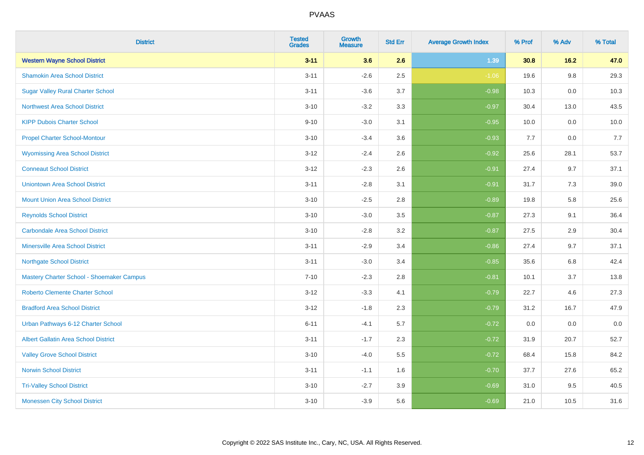| <b>District</b>                             | <b>Tested</b><br><b>Grades</b> | <b>Growth</b><br><b>Measure</b> | <b>Std Err</b> | <b>Average Growth Index</b> | % Prof | % Adv   | % Total |
|---------------------------------------------|--------------------------------|---------------------------------|----------------|-----------------------------|--------|---------|---------|
| <b>Western Wayne School District</b>        | $3 - 11$                       | 3.6                             | 2.6            | 1.39                        | 30.8   | 16.2    | 47.0    |
| <b>Shamokin Area School District</b>        | $3 - 11$                       | $-2.6$                          | 2.5            | $-1.06$                     | 19.6   | $9.8\,$ | 29.3    |
| <b>Sugar Valley Rural Charter School</b>    | $3 - 11$                       | $-3.6$                          | 3.7            | $-0.98$                     | 10.3   | 0.0     | 10.3    |
| <b>Northwest Area School District</b>       | $3 - 10$                       | $-3.2$                          | 3.3            | $-0.97$                     | 30.4   | 13.0    | 43.5    |
| <b>KIPP Dubois Charter School</b>           | $9 - 10$                       | $-3.0$                          | 3.1            | $-0.95$                     | 10.0   | 0.0     | 10.0    |
| <b>Propel Charter School-Montour</b>        | $3 - 10$                       | $-3.4$                          | 3.6            | $-0.93$                     | 7.7    | 0.0     | 7.7     |
| <b>Wyomissing Area School District</b>      | $3 - 12$                       | $-2.4$                          | 2.6            | $-0.92$                     | 25.6   | 28.1    | 53.7    |
| <b>Conneaut School District</b>             | $3 - 12$                       | $-2.3$                          | 2.6            | $-0.91$                     | 27.4   | 9.7     | 37.1    |
| <b>Uniontown Area School District</b>       | $3 - 11$                       | $-2.8$                          | 3.1            | $-0.91$                     | 31.7   | 7.3     | 39.0    |
| <b>Mount Union Area School District</b>     | $3 - 10$                       | $-2.5$                          | 2.8            | $-0.89$                     | 19.8   | 5.8     | 25.6    |
| <b>Reynolds School District</b>             | $3 - 10$                       | $-3.0$                          | 3.5            | $-0.87$                     | 27.3   | 9.1     | 36.4    |
| <b>Carbondale Area School District</b>      | $3 - 10$                       | $-2.8$                          | 3.2            | $-0.87$                     | 27.5   | 2.9     | 30.4    |
| <b>Minersville Area School District</b>     | $3 - 11$                       | $-2.9$                          | 3.4            | $-0.86$                     | 27.4   | 9.7     | 37.1    |
| <b>Northgate School District</b>            | $3 - 11$                       | $-3.0$                          | 3.4            | $-0.85$                     | 35.6   | 6.8     | 42.4    |
| Mastery Charter School - Shoemaker Campus   | $7 - 10$                       | $-2.3$                          | 2.8            | $-0.81$                     | 10.1   | 3.7     | 13.8    |
| <b>Roberto Clemente Charter School</b>      | $3 - 12$                       | $-3.3$                          | 4.1            | $-0.79$                     | 22.7   | 4.6     | 27.3    |
| <b>Bradford Area School District</b>        | $3 - 12$                       | $-1.8$                          | 2.3            | $-0.79$                     | 31.2   | 16.7    | 47.9    |
| Urban Pathways 6-12 Charter School          | $6 - 11$                       | $-4.1$                          | 5.7            | $-0.72$                     | 0.0    | 0.0     | $0.0\,$ |
| <b>Albert Gallatin Area School District</b> | $3 - 11$                       | $-1.7$                          | 2.3            | $-0.72$                     | 31.9   | 20.7    | 52.7    |
| <b>Valley Grove School District</b>         | $3 - 10$                       | $-4.0$                          | 5.5            | $-0.72$                     | 68.4   | 15.8    | 84.2    |
| <b>Norwin School District</b>               | $3 - 11$                       | $-1.1$                          | 1.6            | $-0.70$                     | 37.7   | 27.6    | 65.2    |
| <b>Tri-Valley School District</b>           | $3 - 10$                       | $-2.7$                          | 3.9            | $-0.69$                     | 31.0   | 9.5     | 40.5    |
| <b>Monessen City School District</b>        | $3 - 10$                       | $-3.9$                          | 5.6            | $-0.69$                     | 21.0   | 10.5    | 31.6    |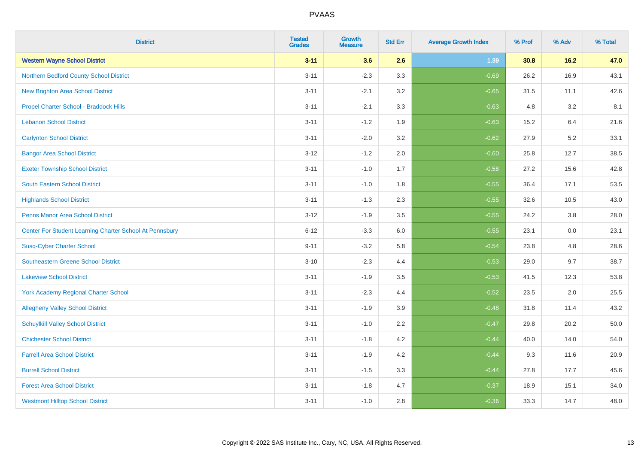| <b>District</b>                                         | <b>Tested</b><br><b>Grades</b> | <b>Growth</b><br><b>Measure</b> | <b>Std Err</b> | <b>Average Growth Index</b> | % Prof | % Adv | % Total |
|---------------------------------------------------------|--------------------------------|---------------------------------|----------------|-----------------------------|--------|-------|---------|
| <b>Western Wayne School District</b>                    | $3 - 11$                       | 3.6                             | 2.6            | 1.39                        | 30.8   | 16.2  | 47.0    |
| Northern Bedford County School District                 | $3 - 11$                       | $-2.3$                          | 3.3            | $-0.69$                     | 26.2   | 16.9  | 43.1    |
| <b>New Brighton Area School District</b>                | $3 - 11$                       | $-2.1$                          | 3.2            | $-0.65$                     | 31.5   | 11.1  | 42.6    |
| Propel Charter School - Braddock Hills                  | $3 - 11$                       | $-2.1$                          | 3.3            | $-0.63$                     | 4.8    | 3.2   | 8.1     |
| <b>Lebanon School District</b>                          | $3 - 11$                       | $-1.2$                          | 1.9            | $-0.63$                     | 15.2   | 6.4   | 21.6    |
| <b>Carlynton School District</b>                        | $3 - 11$                       | $-2.0$                          | 3.2            | $-0.62$                     | 27.9   | 5.2   | 33.1    |
| <b>Bangor Area School District</b>                      | $3 - 12$                       | $-1.2$                          | 2.0            | $-0.60$                     | 25.8   | 12.7  | 38.5    |
| <b>Exeter Township School District</b>                  | $3 - 11$                       | $-1.0$                          | 1.7            | $-0.58$                     | 27.2   | 15.6  | 42.8    |
| South Eastern School District                           | $3 - 11$                       | $-1.0$                          | 1.8            | $-0.55$                     | 36.4   | 17.1  | 53.5    |
| <b>Highlands School District</b>                        | $3 - 11$                       | $-1.3$                          | 2.3            | $-0.55$                     | 32.6   | 10.5  | 43.0    |
| <b>Penns Manor Area School District</b>                 | $3 - 12$                       | $-1.9$                          | 3.5            | $-0.55$                     | 24.2   | 3.8   | 28.0    |
| Center For Student Learning Charter School At Pennsbury | $6 - 12$                       | $-3.3$                          | 6.0            | $-0.55$                     | 23.1   | 0.0   | 23.1    |
| <b>Susq-Cyber Charter School</b>                        | $9 - 11$                       | $-3.2$                          | 5.8            | $-0.54$                     | 23.8   | 4.8   | 28.6    |
| <b>Southeastern Greene School District</b>              | $3 - 10$                       | $-2.3$                          | 4.4            | $-0.53$                     | 29.0   | 9.7   | 38.7    |
| <b>Lakeview School District</b>                         | $3 - 11$                       | $-1.9$                          | 3.5            | $-0.53$                     | 41.5   | 12.3  | 53.8    |
| <b>York Academy Regional Charter School</b>             | $3 - 11$                       | $-2.3$                          | 4.4            | $-0.52$                     | 23.5   | 2.0   | 25.5    |
| <b>Allegheny Valley School District</b>                 | $3 - 11$                       | $-1.9$                          | 3.9            | $-0.48$                     | 31.8   | 11.4  | 43.2    |
| <b>Schuylkill Valley School District</b>                | $3 - 11$                       | $-1.0$                          | 2.2            | $-0.47$                     | 29.8   | 20.2  | 50.0    |
| <b>Chichester School District</b>                       | $3 - 11$                       | $-1.8$                          | 4.2            | $-0.44$                     | 40.0   | 14.0  | 54.0    |
| <b>Farrell Area School District</b>                     | $3 - 11$                       | $-1.9$                          | 4.2            | $-0.44$                     | 9.3    | 11.6  | 20.9    |
| <b>Burrell School District</b>                          | $3 - 11$                       | $-1.5$                          | 3.3            | $-0.44$                     | 27.8   | 17.7  | 45.6    |
| <b>Forest Area School District</b>                      | $3 - 11$                       | $-1.8$                          | 4.7            | $-0.37$                     | 18.9   | 15.1  | 34.0    |
| <b>Westmont Hilltop School District</b>                 | $3 - 11$                       | $-1.0$                          | 2.8            | $-0.36$                     | 33.3   | 14.7  | 48.0    |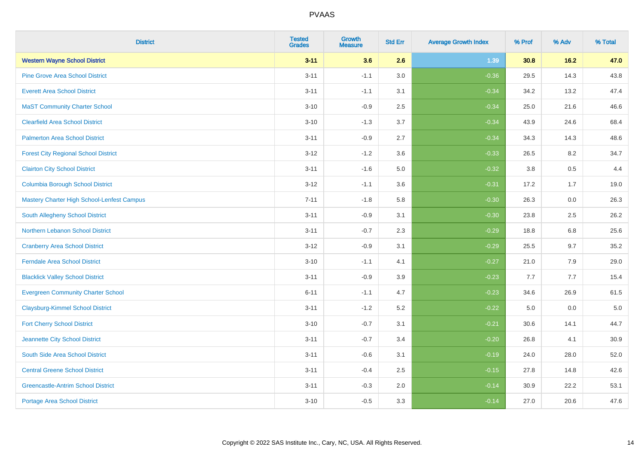| <b>District</b>                             | <b>Tested</b><br><b>Grades</b> | <b>Growth</b><br><b>Measure</b> | <b>Std Err</b> | <b>Average Growth Index</b> | % Prof | % Adv   | % Total |
|---------------------------------------------|--------------------------------|---------------------------------|----------------|-----------------------------|--------|---------|---------|
| <b>Western Wayne School District</b>        | $3 - 11$                       | 3.6                             | 2.6            | 1.39                        | 30.8   | 16.2    | 47.0    |
| <b>Pine Grove Area School District</b>      | $3 - 11$                       | $-1.1$                          | 3.0            | $-0.36$                     | 29.5   | 14.3    | 43.8    |
| <b>Everett Area School District</b>         | $3 - 11$                       | $-1.1$                          | 3.1            | $-0.34$                     | 34.2   | 13.2    | 47.4    |
| <b>MaST Community Charter School</b>        | $3 - 10$                       | $-0.9$                          | 2.5            | $-0.34$                     | 25.0   | 21.6    | 46.6    |
| <b>Clearfield Area School District</b>      | $3 - 10$                       | $-1.3$                          | 3.7            | $-0.34$                     | 43.9   | 24.6    | 68.4    |
| <b>Palmerton Area School District</b>       | $3 - 11$                       | $-0.9$                          | 2.7            | $-0.34$                     | 34.3   | 14.3    | 48.6    |
| <b>Forest City Regional School District</b> | $3 - 12$                       | $-1.2$                          | 3.6            | $-0.33$                     | 26.5   | 8.2     | 34.7    |
| <b>Clairton City School District</b>        | $3 - 11$                       | $-1.6$                          | 5.0            | $-0.32$                     | 3.8    | 0.5     | 4.4     |
| <b>Columbia Borough School District</b>     | $3 - 12$                       | $-1.1$                          | 3.6            | $-0.31$                     | 17.2   | 1.7     | 19.0    |
| Mastery Charter High School-Lenfest Campus  | $7 - 11$                       | $-1.8$                          | 5.8            | $-0.30$                     | 26.3   | 0.0     | 26.3    |
| South Allegheny School District             | $3 - 11$                       | $-0.9$                          | 3.1            | $-0.30$                     | 23.8   | 2.5     | 26.2    |
| <b>Northern Lebanon School District</b>     | $3 - 11$                       | $-0.7$                          | 2.3            | $-0.29$                     | 18.8   | 6.8     | 25.6    |
| <b>Cranberry Area School District</b>       | $3 - 12$                       | $-0.9$                          | 3.1            | $-0.29$                     | 25.5   | 9.7     | 35.2    |
| Ferndale Area School District               | $3 - 10$                       | $-1.1$                          | 4.1            | $-0.27$                     | 21.0   | 7.9     | 29.0    |
| <b>Blacklick Valley School District</b>     | $3 - 11$                       | $-0.9$                          | 3.9            | $-0.23$                     | 7.7    | 7.7     | 15.4    |
| <b>Evergreen Community Charter School</b>   | $6 - 11$                       | $-1.1$                          | 4.7            | $-0.23$                     | 34.6   | 26.9    | 61.5    |
| <b>Claysburg-Kimmel School District</b>     | $3 - 11$                       | $-1.2$                          | 5.2            | $-0.22$                     | 5.0    | $0.0\,$ | $5.0$   |
| <b>Fort Cherry School District</b>          | $3 - 10$                       | $-0.7$                          | 3.1            | $-0.21$                     | 30.6   | 14.1    | 44.7    |
| Jeannette City School District              | $3 - 11$                       | $-0.7$                          | 3.4            | $-0.20$                     | 26.8   | 4.1     | 30.9    |
| South Side Area School District             | $3 - 11$                       | $-0.6$                          | 3.1            | $-0.19$                     | 24.0   | 28.0    | 52.0    |
| <b>Central Greene School District</b>       | $3 - 11$                       | $-0.4$                          | 2.5            | $-0.15$                     | 27.8   | 14.8    | 42.6    |
| <b>Greencastle-Antrim School District</b>   | $3 - 11$                       | $-0.3$                          | 2.0            | $-0.14$                     | 30.9   | 22.2    | 53.1    |
| <b>Portage Area School District</b>         | $3 - 10$                       | $-0.5$                          | 3.3            | $-0.14$                     | 27.0   | 20.6    | 47.6    |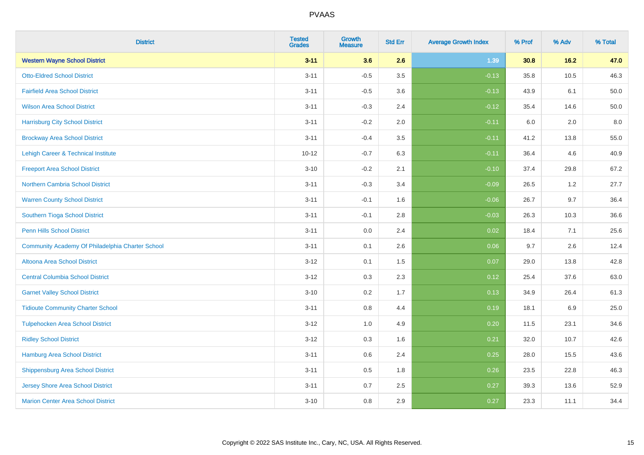| <b>District</b>                                  | <b>Tested</b><br><b>Grades</b> | <b>Growth</b><br><b>Measure</b> | <b>Std Err</b> | <b>Average Growth Index</b> | % Prof | % Adv | % Total |
|--------------------------------------------------|--------------------------------|---------------------------------|----------------|-----------------------------|--------|-------|---------|
| <b>Western Wayne School District</b>             | $3 - 11$                       | 3.6                             | 2.6            | 1.39                        | 30.8   | 16.2  | 47.0    |
| <b>Otto-Eldred School District</b>               | $3 - 11$                       | $-0.5$                          | 3.5            | $-0.13$                     | 35.8   | 10.5  | 46.3    |
| <b>Fairfield Area School District</b>            | $3 - 11$                       | $-0.5$                          | 3.6            | $-0.13$                     | 43.9   | 6.1   | 50.0    |
| <b>Wilson Area School District</b>               | $3 - 11$                       | $-0.3$                          | 2.4            | $-0.12$                     | 35.4   | 14.6  | 50.0    |
| <b>Harrisburg City School District</b>           | $3 - 11$                       | $-0.2$                          | 2.0            | $-0.11$                     | 6.0    | 2.0   | 8.0     |
| <b>Brockway Area School District</b>             | $3 - 11$                       | $-0.4$                          | 3.5            | $-0.11$                     | 41.2   | 13.8  | 55.0    |
| Lehigh Career & Technical Institute              | $10 - 12$                      | $-0.7$                          | 6.3            | $-0.11$                     | 36.4   | 4.6   | 40.9    |
| <b>Freeport Area School District</b>             | $3 - 10$                       | $-0.2$                          | 2.1            | $-0.10$                     | 37.4   | 29.8  | 67.2    |
| <b>Northern Cambria School District</b>          | $3 - 11$                       | $-0.3$                          | 3.4            | $-0.09$                     | 26.5   | 1.2   | 27.7    |
| <b>Warren County School District</b>             | $3 - 11$                       | $-0.1$                          | 1.6            | $-0.06$                     | 26.7   | 9.7   | 36.4    |
| <b>Southern Tioga School District</b>            | $3 - 11$                       | $-0.1$                          | 2.8            | $-0.03$                     | 26.3   | 10.3  | 36.6    |
| Penn Hills School District                       | $3 - 11$                       | 0.0                             | 2.4            | 0.02                        | 18.4   | 7.1   | 25.6    |
| Community Academy Of Philadelphia Charter School | $3 - 11$                       | 0.1                             | 2.6            | 0.06                        | 9.7    | 2.6   | 12.4    |
| Altoona Area School District                     | $3-12$                         | 0.1                             | 1.5            | 0.07                        | 29.0   | 13.8  | 42.8    |
| <b>Central Columbia School District</b>          | $3 - 12$                       | 0.3                             | 2.3            | 0.12                        | 25.4   | 37.6  | 63.0    |
| <b>Garnet Valley School District</b>             | $3 - 10$                       | 0.2                             | 1.7            | 0.13                        | 34.9   | 26.4  | 61.3    |
| <b>Tidioute Community Charter School</b>         | $3 - 11$                       | 0.8                             | 4.4            | 0.19                        | 18.1   | 6.9   | 25.0    |
| <b>Tulpehocken Area School District</b>          | $3 - 12$                       | 1.0                             | 4.9            | 0.20                        | 11.5   | 23.1  | 34.6    |
| <b>Ridley School District</b>                    | $3 - 12$                       | 0.3                             | 1.6            | 0.21                        | 32.0   | 10.7  | 42.6    |
| <b>Hamburg Area School District</b>              | $3 - 11$                       | 0.6                             | 2.4            | 0.25                        | 28.0   | 15.5  | 43.6    |
| <b>Shippensburg Area School District</b>         | $3 - 11$                       | 0.5                             | 1.8            | 0.26                        | 23.5   | 22.8  | 46.3    |
| Jersey Shore Area School District                | $3 - 11$                       | 0.7                             | 2.5            | 0.27                        | 39.3   | 13.6  | 52.9    |
| <b>Marion Center Area School District</b>        | $3 - 10$                       | 0.8                             | 2.9            | 0.27                        | 23.3   | 11.1  | 34.4    |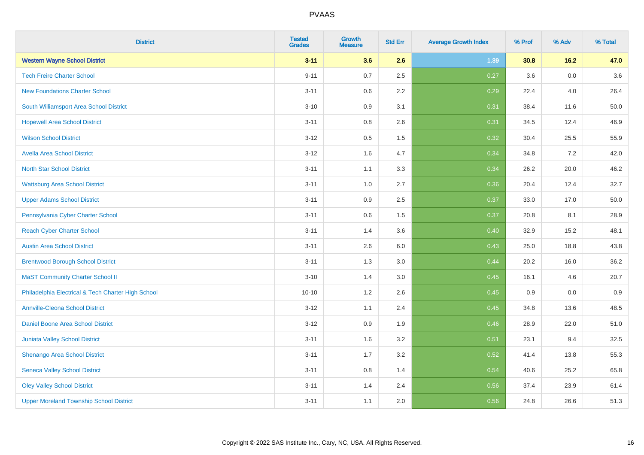| <b>District</b>                                    | <b>Tested</b><br><b>Grades</b> | <b>Growth</b><br><b>Measure</b> | <b>Std Err</b> | <b>Average Growth Index</b> | % Prof | % Adv   | % Total |
|----------------------------------------------------|--------------------------------|---------------------------------|----------------|-----------------------------|--------|---------|---------|
| <b>Western Wayne School District</b>               | $3 - 11$                       | 3.6                             | 2.6            | 1.39                        | 30.8   | 16.2    | 47.0    |
| <b>Tech Freire Charter School</b>                  | $9 - 11$                       | 0.7                             | 2.5            | 0.27                        | 3.6    | 0.0     | 3.6     |
| <b>New Foundations Charter School</b>              | $3 - 11$                       | 0.6                             | 2.2            | 0.29                        | 22.4   | 4.0     | 26.4    |
| South Williamsport Area School District            | $3 - 10$                       | 0.9                             | 3.1            | 0.31                        | 38.4   | 11.6    | 50.0    |
| <b>Hopewell Area School District</b>               | $3 - 11$                       | 0.8                             | 2.6            | 0.31                        | 34.5   | 12.4    | 46.9    |
| <b>Wilson School District</b>                      | $3 - 12$                       | 0.5                             | 1.5            | 0.32                        | 30.4   | 25.5    | 55.9    |
| <b>Avella Area School District</b>                 | $3 - 12$                       | 1.6                             | 4.7            | 0.34                        | 34.8   | 7.2     | 42.0    |
| <b>North Star School District</b>                  | $3 - 11$                       | 1.1                             | 3.3            | 0.34                        | 26.2   | 20.0    | 46.2    |
| <b>Wattsburg Area School District</b>              | $3 - 11$                       | 1.0                             | 2.7            | 0.36                        | 20.4   | 12.4    | 32.7    |
| <b>Upper Adams School District</b>                 | $3 - 11$                       | 0.9                             | 2.5            | 0.37                        | 33.0   | 17.0    | 50.0    |
| Pennsylvania Cyber Charter School                  | $3 - 11$                       | 0.6                             | 1.5            | 0.37                        | 20.8   | 8.1     | 28.9    |
| <b>Reach Cyber Charter School</b>                  | $3 - 11$                       | 1.4                             | 3.6            | 0.40                        | 32.9   | 15.2    | 48.1    |
| <b>Austin Area School District</b>                 | $3 - 11$                       | 2.6                             | 6.0            | 0.43                        | 25.0   | 18.8    | 43.8    |
| <b>Brentwood Borough School District</b>           | $3 - 11$                       | 1.3                             | 3.0            | 0.44                        | 20.2   | 16.0    | 36.2    |
| <b>MaST Community Charter School II</b>            | $3 - 10$                       | 1.4                             | 3.0            | 0.45                        | 16.1   | 4.6     | 20.7    |
| Philadelphia Electrical & Tech Charter High School | $10 - 10$                      | 1.2                             | 2.6            | 0.45                        | 0.9    | $0.0\,$ | 0.9     |
| <b>Annville-Cleona School District</b>             | $3 - 12$                       | 1.1                             | 2.4            | 0.45                        | 34.8   | 13.6    | 48.5    |
| <b>Daniel Boone Area School District</b>           | $3 - 12$                       | 0.9                             | 1.9            | 0.46                        | 28.9   | 22.0    | 51.0    |
| Juniata Valley School District                     | $3 - 11$                       | 1.6                             | 3.2            | 0.51                        | 23.1   | 9.4     | 32.5    |
| Shenango Area School District                      | $3 - 11$                       | 1.7                             | 3.2            | 0.52                        | 41.4   | 13.8    | 55.3    |
| <b>Seneca Valley School District</b>               | $3 - 11$                       | $0.8\,$                         | 1.4            | 0.54                        | 40.6   | 25.2    | 65.8    |
| <b>Oley Valley School District</b>                 | $3 - 11$                       | 1.4                             | 2.4            | 0.56                        | 37.4   | 23.9    | 61.4    |
| <b>Upper Moreland Township School District</b>     | $3 - 11$                       | 1.1                             | 2.0            | 0.56                        | 24.8   | 26.6    | 51.3    |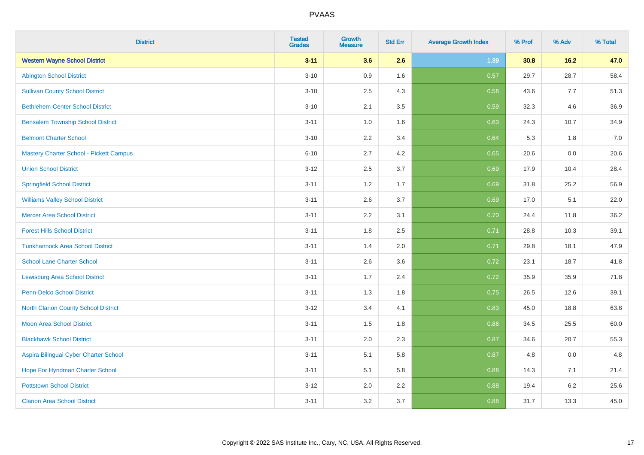| <b>District</b>                          | <b>Tested</b><br><b>Grades</b> | <b>Growth</b><br><b>Measure</b> | <b>Std Err</b> | <b>Average Growth Index</b> | % Prof | % Adv | % Total |
|------------------------------------------|--------------------------------|---------------------------------|----------------|-----------------------------|--------|-------|---------|
| <b>Western Wayne School District</b>     | $3 - 11$                       | 3.6                             | 2.6            | 1.39                        | 30.8   | 16.2  | 47.0    |
| <b>Abington School District</b>          | $3 - 10$                       | 0.9                             | 1.6            | 0.57                        | 29.7   | 28.7  | 58.4    |
| <b>Sullivan County School District</b>   | $3 - 10$                       | 2.5                             | 4.3            | 0.58                        | 43.6   | 7.7   | 51.3    |
| <b>Bethlehem-Center School District</b>  | $3 - 10$                       | 2.1                             | 3.5            | 0.59                        | 32.3   | 4.6   | 36.9    |
| <b>Bensalem Township School District</b> | $3 - 11$                       | 1.0                             | 1.6            | 0.63                        | 24.3   | 10.7  | 34.9    |
| <b>Belmont Charter School</b>            | $3 - 10$                       | 2.2                             | 3.4            | 0.64                        | 5.3    | 1.8   | 7.0     |
| Mastery Charter School - Pickett Campus  | $6 - 10$                       | 2.7                             | 4.2            | 0.65                        | 20.6   | 0.0   | 20.6    |
| <b>Union School District</b>             | $3 - 12$                       | 2.5                             | 3.7            | 0.69                        | 17.9   | 10.4  | 28.4    |
| <b>Springfield School District</b>       | $3 - 11$                       | 1.2                             | 1.7            | 0.69                        | 31.8   | 25.2  | 56.9    |
| <b>Williams Valley School District</b>   | $3 - 11$                       | 2.6                             | 3.7            | 0.69                        | 17.0   | 5.1   | 22.0    |
| <b>Mercer Area School District</b>       | $3 - 11$                       | 2.2                             | 3.1            | 0.70                        | 24.4   | 11.8  | 36.2    |
| <b>Forest Hills School District</b>      | $3 - 11$                       | 1.8                             | 2.5            | 0.71                        | 28.8   | 10.3  | 39.1    |
| <b>Tunkhannock Area School District</b>  | $3 - 11$                       | 1.4                             | 2.0            | 0.71                        | 29.8   | 18.1  | 47.9    |
| <b>School Lane Charter School</b>        | $3 - 11$                       | 2.6                             | 3.6            | 0.72                        | 23.1   | 18.7  | 41.8    |
| <b>Lewisburg Area School District</b>    | $3 - 11$                       | 1.7                             | 2.4            | 0.72                        | 35.9   | 35.9  | 71.8    |
| Penn-Delco School District               | $3 - 11$                       | 1.3                             | 1.8            | 0.75                        | 26.5   | 12.6  | 39.1    |
| North Clarion County School District     | $3 - 12$                       | 3.4                             | 4.1            | 0.83                        | 45.0   | 18.8  | 63.8    |
| <b>Moon Area School District</b>         | $3 - 11$                       | 1.5                             | 1.8            | 0.86                        | 34.5   | 25.5  | 60.0    |
| <b>Blackhawk School District</b>         | $3 - 11$                       | 2.0                             | 2.3            | 0.87                        | 34.6   | 20.7  | 55.3    |
| Aspira Bilingual Cyber Charter School    | $3 - 11$                       | 5.1                             | 5.8            | 0.87                        | 4.8    | 0.0   | 4.8     |
| Hope For Hyndman Charter School          | $3 - 11$                       | 5.1                             | 5.8            | 0.88                        | 14.3   | 7.1   | 21.4    |
| <b>Pottstown School District</b>         | $3 - 12$                       | 2.0                             | 2.2            | 0.88                        | 19.4   | 6.2   | 25.6    |
| <b>Clarion Area School District</b>      | $3 - 11$                       | 3.2                             | 3.7            | 0.88                        | 31.7   | 13.3  | 45.0    |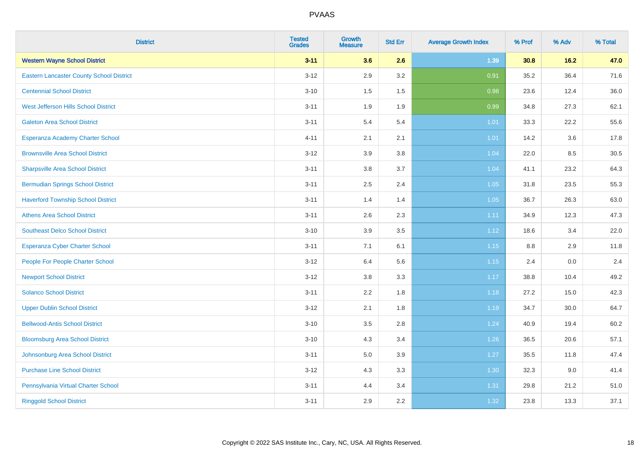| <b>District</b>                                 | <b>Tested</b><br><b>Grades</b> | <b>Growth</b><br><b>Measure</b> | <b>Std Err</b> | <b>Average Growth Index</b> | % Prof | % Adv  | % Total |
|-------------------------------------------------|--------------------------------|---------------------------------|----------------|-----------------------------|--------|--------|---------|
| <b>Western Wayne School District</b>            | $3 - 11$                       | 3.6                             | 2.6            | 1.39                        | 30.8   | $16.2$ | 47.0    |
| <b>Eastern Lancaster County School District</b> | $3-12$                         | 2.9                             | 3.2            | 0.91                        | 35.2   | 36.4   | 71.6    |
| <b>Centennial School District</b>               | $3 - 10$                       | 1.5                             | 1.5            | 0.98                        | 23.6   | 12.4   | 36.0    |
| <b>West Jefferson Hills School District</b>     | $3 - 11$                       | 1.9                             | 1.9            | 0.99                        | 34.8   | 27.3   | 62.1    |
| <b>Galeton Area School District</b>             | $3 - 11$                       | 5.4                             | 5.4            | 1.01                        | 33.3   | 22.2   | 55.6    |
| Esperanza Academy Charter School                | $4 - 11$                       | 2.1                             | 2.1            | 1.01                        | 14.2   | 3.6    | 17.8    |
| <b>Brownsville Area School District</b>         | $3 - 12$                       | 3.9                             | 3.8            | 1.04                        | 22.0   | 8.5    | 30.5    |
| <b>Sharpsville Area School District</b>         | $3 - 11$                       | 3.8                             | 3.7            | 1.04                        | 41.1   | 23.2   | 64.3    |
| <b>Bermudian Springs School District</b>        | $3 - 11$                       | 2.5                             | 2.4            | 1.05                        | 31.8   | 23.5   | 55.3    |
| <b>Haverford Township School District</b>       | $3 - 11$                       | 1.4                             | 1.4            | 1.05                        | 36.7   | 26.3   | 63.0    |
| <b>Athens Area School District</b>              | $3 - 11$                       | 2.6                             | 2.3            | 1.11                        | 34.9   | 12.3   | 47.3    |
| <b>Southeast Delco School District</b>          | $3 - 10$                       | 3.9                             | 3.5            | 1.12                        | 18.6   | 3.4    | 22.0    |
| Esperanza Cyber Charter School                  | $3 - 11$                       | 7.1                             | 6.1            | 1.15                        | 8.8    | 2.9    | 11.8    |
| People For People Charter School                | $3-12$                         | 6.4                             | 5.6            | 1.15                        | 2.4    | 0.0    | 2.4     |
| <b>Newport School District</b>                  | $3-12$                         | $3.8\,$                         | 3.3            | 1.17                        | 38.8   | 10.4   | 49.2    |
| <b>Solanco School District</b>                  | $3 - 11$                       | 2.2                             | 1.8            | 1.18                        | 27.2   | 15.0   | 42.3    |
| <b>Upper Dublin School District</b>             | $3 - 12$                       | 2.1                             | 1.8            | 1.19                        | 34.7   | 30.0   | 64.7    |
| <b>Bellwood-Antis School District</b>           | $3 - 10$                       | 3.5                             | 2.8            | 1.24                        | 40.9   | 19.4   | 60.2    |
| <b>Bloomsburg Area School District</b>          | $3 - 10$                       | 4.3                             | 3.4            | 1.26                        | 36.5   | 20.6   | 57.1    |
| Johnsonburg Area School District                | $3 - 11$                       | 5.0                             | 3.9            | 1.27                        | 35.5   | 11.8   | 47.4    |
| <b>Purchase Line School District</b>            | $3 - 12$                       | 4.3                             | 3.3            | 1.30                        | 32.3   | 9.0    | 41.4    |
| Pennsylvania Virtual Charter School             | $3 - 11$                       | 4.4                             | 3.4            | 1.31                        | 29.8   | 21.2   | 51.0    |
| <b>Ringgold School District</b>                 | $3 - 11$                       | 2.9                             | 2.2            | 1.32                        | 23.8   | 13.3   | 37.1    |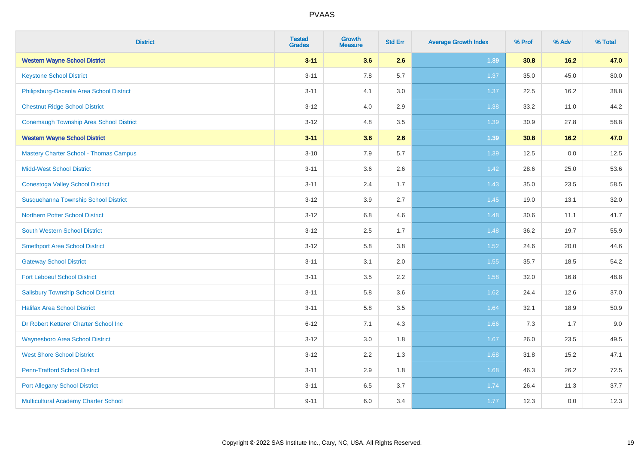| <b>District</b>                                | <b>Tested</b><br><b>Grades</b> | <b>Growth</b><br><b>Measure</b> | <b>Std Err</b> | <b>Average Growth Index</b> | % Prof | % Adv  | % Total |
|------------------------------------------------|--------------------------------|---------------------------------|----------------|-----------------------------|--------|--------|---------|
| <b>Western Wayne School District</b>           | $3 - 11$                       | 3.6                             | 2.6            | 1.39                        | 30.8   | 16.2   | 47.0    |
| <b>Keystone School District</b>                | $3 - 11$                       | 7.8                             | 5.7            | 1.37                        | 35.0   | 45.0   | 80.0    |
| Philipsburg-Osceola Area School District       | $3 - 11$                       | 4.1                             | 3.0            | 1.37                        | 22.5   | 16.2   | 38.8    |
| <b>Chestnut Ridge School District</b>          | $3 - 12$                       | 4.0                             | 2.9            | 1.38                        | 33.2   | 11.0   | 44.2    |
| <b>Conemaugh Township Area School District</b> | $3 - 12$                       | 4.8                             | 3.5            | 1.39                        | 30.9   | 27.8   | 58.8    |
| <b>Western Wayne School District</b>           | $3 - 11$                       | 3.6                             | 2.6            | 1.39                        | 30.8   | $16.2$ | 47.0    |
| <b>Mastery Charter School - Thomas Campus</b>  | $3 - 10$                       | 7.9                             | 5.7            | 1.39                        | 12.5   | 0.0    | 12.5    |
| <b>Midd-West School District</b>               | $3 - 11$                       | 3.6                             | 2.6            | 1.42                        | 28.6   | 25.0   | 53.6    |
| <b>Conestoga Valley School District</b>        | $3 - 11$                       | 2.4                             | 1.7            | 1.43                        | 35.0   | 23.5   | 58.5    |
| Susquehanna Township School District           | $3 - 12$                       | 3.9                             | 2.7            | 1.45                        | 19.0   | 13.1   | 32.0    |
| <b>Northern Potter School District</b>         | $3 - 12$                       | 6.8                             | 4.6            | 1.48                        | 30.6   | 11.1   | 41.7    |
| South Western School District                  | $3 - 12$                       | 2.5                             | 1.7            | 1.48                        | 36.2   | 19.7   | 55.9    |
| <b>Smethport Area School District</b>          | $3 - 12$                       | 5.8                             | 3.8            | 1.52                        | 24.6   | 20.0   | 44.6    |
| <b>Gateway School District</b>                 | $3 - 11$                       | 3.1                             | 2.0            | 1.55                        | 35.7   | 18.5   | 54.2    |
| <b>Fort Leboeuf School District</b>            | $3 - 11$                       | 3.5                             | 2.2            | 1.58                        | 32.0   | 16.8   | 48.8    |
| <b>Salisbury Township School District</b>      | $3 - 11$                       | 5.8                             | 3.6            | 1.62                        | 24.4   | 12.6   | 37.0    |
| <b>Halifax Area School District</b>            | $3 - 11$                       | 5.8                             | 3.5            | 1.64                        | 32.1   | 18.9   | 50.9    |
| Dr Robert Ketterer Charter School Inc          | $6 - 12$                       | 7.1                             | 4.3            | 1.66                        | 7.3    | 1.7    | 9.0     |
| <b>Waynesboro Area School District</b>         | $3 - 12$                       | 3.0                             | 1.8            | 1.67                        | 26.0   | 23.5   | 49.5    |
| <b>West Shore School District</b>              | $3 - 12$                       | 2.2                             | 1.3            | 1.68                        | 31.8   | 15.2   | 47.1    |
| <b>Penn-Trafford School District</b>           | $3 - 11$                       | 2.9                             | 1.8            | 1.68                        | 46.3   | 26.2   | 72.5    |
| <b>Port Allegany School District</b>           | $3 - 11$                       | 6.5                             | 3.7            | 1.74                        | 26.4   | 11.3   | 37.7    |
| <b>Multicultural Academy Charter School</b>    | $9 - 11$                       | 6.0                             | 3.4            | 1.77                        | 12.3   | 0.0    | 12.3    |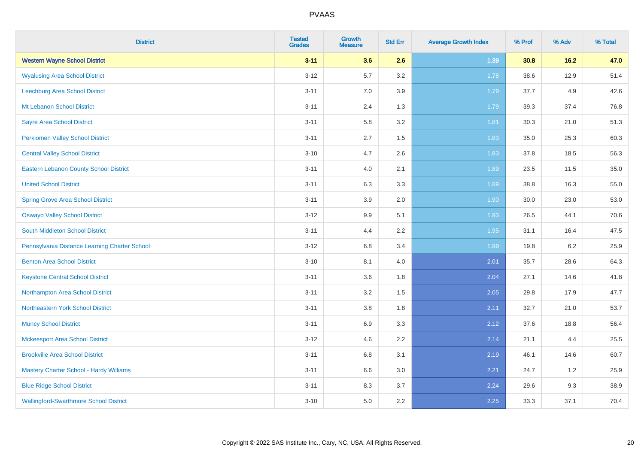| <b>District</b>                                | <b>Tested</b><br><b>Grades</b> | Growth<br><b>Measure</b> | <b>Std Err</b> | <b>Average Growth Index</b> | % Prof | % Adv | % Total |
|------------------------------------------------|--------------------------------|--------------------------|----------------|-----------------------------|--------|-------|---------|
| <b>Western Wayne School District</b>           | $3 - 11$                       | 3.6                      | 2.6            | 1.39                        | 30.8   | 16.2  | 47.0    |
| <b>Wyalusing Area School District</b>          | $3 - 12$                       | 5.7                      | 3.2            | 1.78                        | 38.6   | 12.9  | 51.4    |
| <b>Leechburg Area School District</b>          | $3 - 11$                       | 7.0                      | 3.9            | 1.79                        | 37.7   | 4.9   | 42.6    |
| Mt Lebanon School District                     | $3 - 11$                       | 2.4                      | 1.3            | 1.79                        | 39.3   | 37.4  | 76.8    |
| <b>Sayre Area School District</b>              | $3 - 11$                       | 5.8                      | 3.2            | 1.81                        | 30.3   | 21.0  | 51.3    |
| <b>Perkiomen Valley School District</b>        | $3 - 11$                       | 2.7                      | 1.5            | 1.83                        | 35.0   | 25.3  | 60.3    |
| <b>Central Valley School District</b>          | $3 - 10$                       | 4.7                      | 2.6            | 1.83                        | 37.8   | 18.5  | 56.3    |
| <b>Eastern Lebanon County School District</b>  | $3 - 11$                       | 4.0                      | 2.1            | 1.89                        | 23.5   | 11.5  | 35.0    |
| <b>United School District</b>                  | $3 - 11$                       | 6.3                      | 3.3            | 1.89                        | 38.8   | 16.3  | 55.0    |
| <b>Spring Grove Area School District</b>       | $3 - 11$                       | 3.9                      | 2.0            | 1.90                        | 30.0   | 23.0  | 53.0    |
| <b>Oswayo Valley School District</b>           | $3 - 12$                       | 9.9                      | 5.1            | 1.93                        | 26.5   | 44.1  | 70.6    |
| South Middleton School District                | $3 - 11$                       | 4.4                      | $2.2\,$        | 1.95                        | 31.1   | 16.4  | 47.5    |
| Pennsylvania Distance Learning Charter School  | $3 - 12$                       | $6.8\,$                  | 3.4            | 1.99                        | 19.8   | 6.2   | 25.9    |
| <b>Benton Area School District</b>             | $3 - 10$                       | 8.1                      | 4.0            | 2.01                        | 35.7   | 28.6  | 64.3    |
| <b>Keystone Central School District</b>        | $3 - 11$                       | 3.6                      | 1.8            | 2.04                        | 27.1   | 14.6  | 41.8    |
| Northampton Area School District               | $3 - 11$                       | 3.2                      | 1.5            | 2.05                        | 29.8   | 17.9  | 47.7    |
| Northeastern York School District              | $3 - 11$                       | 3.8                      | 1.8            | 2.11                        | 32.7   | 21.0  | 53.7    |
| <b>Muncy School District</b>                   | $3 - 11$                       | 6.9                      | 3.3            | 2.12                        | 37.6   | 18.8  | 56.4    |
| <b>Mckeesport Area School District</b>         | $3 - 12$                       | 4.6                      | 2.2            | 2.14                        | 21.1   | 4.4   | 25.5    |
| <b>Brookville Area School District</b>         | $3 - 11$                       | $6.8\,$                  | 3.1            | 2.19                        | 46.1   | 14.6  | 60.7    |
| <b>Mastery Charter School - Hardy Williams</b> | $3 - 11$                       | 6.6                      | 3.0            | 2.21                        | 24.7   | 1.2   | 25.9    |
| <b>Blue Ridge School District</b>              | $3 - 11$                       | 8.3                      | 3.7            | 2.24                        | 29.6   | 9.3   | 38.9    |
| <b>Wallingford-Swarthmore School District</b>  | $3 - 10$                       | 5.0                      | 2.2            | 2.25                        | 33.3   | 37.1  | 70.4    |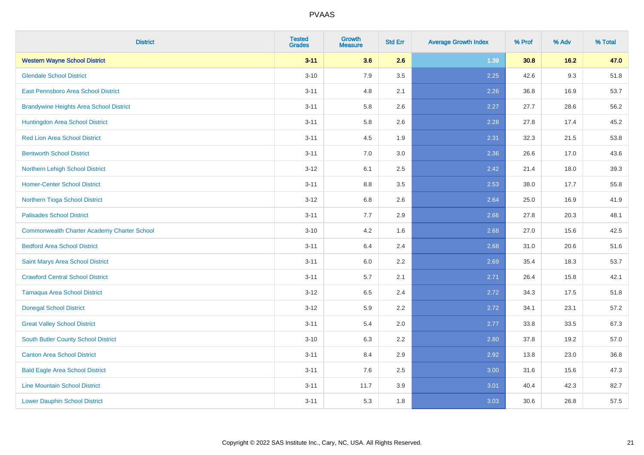| <b>District</b>                                    | <b>Tested</b><br><b>Grades</b> | <b>Growth</b><br><b>Measure</b> | <b>Std Err</b> | <b>Average Growth Index</b> | % Prof | % Adv  | % Total |
|----------------------------------------------------|--------------------------------|---------------------------------|----------------|-----------------------------|--------|--------|---------|
| <b>Western Wayne School District</b>               | $3 - 11$                       | 3.6                             | 2.6            | 1.39                        | 30.8   | $16.2$ | 47.0    |
| <b>Glendale School District</b>                    | $3 - 10$                       | 7.9                             | 3.5            | 2.25                        | 42.6   | 9.3    | 51.8    |
| <b>East Pennsboro Area School District</b>         | $3 - 11$                       | 4.8                             | 2.1            | 2.26                        | 36.8   | 16.9   | 53.7    |
| <b>Brandywine Heights Area School District</b>     | $3 - 11$                       | 5.8                             | 2.6            | 2.27                        | 27.7   | 28.6   | 56.2    |
| Huntingdon Area School District                    | $3 - 11$                       | 5.8                             | 2.6            | 2.28                        | 27.8   | 17.4   | 45.2    |
| <b>Red Lion Area School District</b>               | $3 - 11$                       | 4.5                             | 1.9            | 2.31                        | 32.3   | 21.5   | 53.8    |
| <b>Bentworth School District</b>                   | $3 - 11$                       | 7.0                             | 3.0            | 2.36                        | 26.6   | 17.0   | 43.6    |
| Northern Lehigh School District                    | $3 - 12$                       | 6.1                             | 2.5            | 2.42                        | 21.4   | 18.0   | 39.3    |
| <b>Homer-Center School District</b>                | $3 - 11$                       | 8.8                             | 3.5            | 2.53                        | 38.0   | 17.7   | 55.8    |
| Northern Tioga School District                     | $3 - 12$                       | 6.8                             | 2.6            | 2.64                        | 25.0   | 16.9   | 41.9    |
| <b>Palisades School District</b>                   | $3 - 11$                       | 7.7                             | 2.9            | 2.66                        | 27.8   | 20.3   | 48.1    |
| <b>Commonwealth Charter Academy Charter School</b> | $3 - 10$                       | 4.2                             | 1.6            | 2.68                        | 27.0   | 15.6   | 42.5    |
| <b>Bedford Area School District</b>                | $3 - 11$                       | 6.4                             | 2.4            | 2.68                        | 31.0   | 20.6   | 51.6    |
| Saint Marys Area School District                   | $3 - 11$                       | 6.0                             | 2.2            | 2.69                        | 35.4   | 18.3   | 53.7    |
| <b>Crawford Central School District</b>            | $3 - 11$                       | 5.7                             | 2.1            | 2.71                        | 26.4   | 15.8   | 42.1    |
| <b>Tamaqua Area School District</b>                | $3-12$                         | 6.5                             | 2.4            | 2.72                        | 34.3   | 17.5   | 51.8    |
| <b>Donegal School District</b>                     | $3-12$                         | 5.9                             | 2.2            | 2.72                        | 34.1   | 23.1   | 57.2    |
| <b>Great Valley School District</b>                | $3 - 11$                       | 5.4                             | 2.0            | 2.77                        | 33.8   | 33.5   | 67.3    |
| South Butler County School District                | $3 - 10$                       | 6.3                             | 2.2            | 2.80                        | 37.8   | 19.2   | 57.0    |
| <b>Canton Area School District</b>                 | $3 - 11$                       | 8.4                             | 2.9            | 2.92                        | 13.8   | 23.0   | 36.8    |
| <b>Bald Eagle Area School District</b>             | $3 - 11$                       | 7.6                             | 2.5            | 3.00                        | 31.6   | 15.6   | 47.3    |
| <b>Line Mountain School District</b>               | $3 - 11$                       | 11.7                            | 3.9            | 3.01                        | 40.4   | 42.3   | 82.7    |
| <b>Lower Dauphin School District</b>               | $3 - 11$                       | 5.3                             | 1.8            | 3.03                        | 30.6   | 26.8   | 57.5    |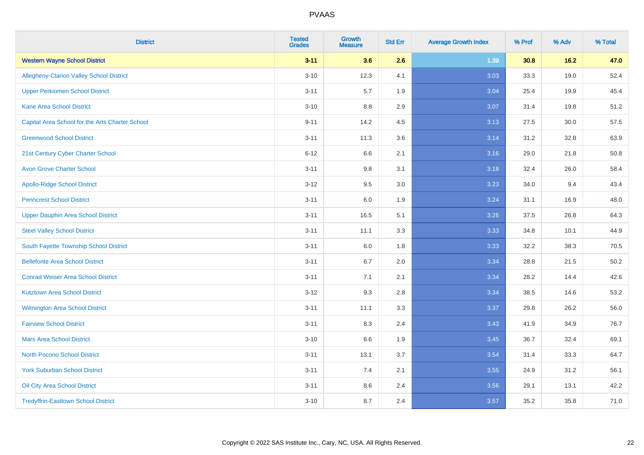| <b>District</b>                                 | <b>Tested</b><br><b>Grades</b> | <b>Growth</b><br><b>Measure</b> | <b>Std Err</b> | <b>Average Growth Index</b> | % Prof | % Adv  | % Total |
|-------------------------------------------------|--------------------------------|---------------------------------|----------------|-----------------------------|--------|--------|---------|
| <b>Western Wayne School District</b>            | $3 - 11$                       | 3.6                             | 2.6            | 1.39                        | 30.8   | $16.2$ | 47.0    |
| Allegheny-Clarion Valley School District        | $3 - 10$                       | 12.3                            | 4.1            | 3.03                        | 33.3   | 19.0   | 52.4    |
| <b>Upper Perkiomen School District</b>          | $3 - 11$                       | 5.7                             | 1.9            | 3.04                        | 25.4   | 19.9   | 45.4    |
| <b>Kane Area School District</b>                | $3 - 10$                       | 8.8                             | 2.9            | 3.07                        | 31.4   | 19.8   | 51.2    |
| Capital Area School for the Arts Charter School | $9 - 11$                       | 14.2                            | 4.5            | 3.13                        | 27.5   | 30.0   | 57.5    |
| <b>Greenwood School District</b>                | $3 - 11$                       | 11.3                            | 3.6            | 3.14                        | 31.2   | 32.8   | 63.9    |
| 21st Century Cyber Charter School               | $6 - 12$                       | 6.6                             | 2.1            | 3.16                        | 29.0   | 21.8   | 50.8    |
| <b>Avon Grove Charter School</b>                | $3 - 11$                       | $9.8\,$                         | 3.1            | 3.18                        | 32.4   | 26.0   | 58.4    |
| <b>Apollo-Ridge School District</b>             | $3 - 12$                       | 9.5                             | 3.0            | 3.23                        | 34.0   | 9.4    | 43.4    |
| <b>Penncrest School District</b>                | $3 - 11$                       | 6.0                             | 1.9            | 3.24                        | 31.1   | 16.9   | 48.0    |
| Upper Dauphin Area School District              | $3 - 11$                       | 16.5                            | 5.1            | 3.26                        | 37.5   | 26.8   | 64.3    |
| <b>Steel Valley School District</b>             | $3 - 11$                       | 11.1                            | 3.3            | 3.33                        | 34.8   | 10.1   | 44.9    |
| South Fayette Township School District          | $3 - 11$                       | 6.0                             | 1.8            | 3.33                        | 32.2   | 38.3   | 70.5    |
| <b>Bellefonte Area School District</b>          | $3 - 11$                       | 6.7                             | 2.0            | 3.34                        | 28.8   | 21.5   | 50.2    |
| <b>Conrad Weiser Area School District</b>       | $3 - 11$                       | 7.1                             | 2.1            | 3.34                        | 28.2   | 14.4   | 42.6    |
| <b>Kutztown Area School District</b>            | $3-12$                         | 9.3                             | 2.8            | 3.34                        | 38.5   | 14.6   | 53.2    |
| Wilmington Area School District                 | $3 - 11$                       | 11.1                            | 3.3            | 3.37                        | 29.8   | 26.2   | 56.0    |
| <b>Fairview School District</b>                 | $3 - 11$                       | 8.3                             | 2.4            | 3.43                        | 41.9   | 34.9   | 76.7    |
| <b>Mars Area School District</b>                | $3 - 10$                       | 6.6                             | 1.9            | 3.45                        | 36.7   | 32.4   | 69.1    |
| <b>North Pocono School District</b>             | $3 - 11$                       | 13.1                            | 3.7            | 3.54                        | 31.4   | 33.3   | 64.7    |
| <b>York Suburban School District</b>            | $3 - 11$                       | 7.4                             | 2.1            | 3.55                        | 24.9   | 31.2   | 56.1    |
| Oil City Area School District                   | $3 - 11$                       | $8.6\,$                         | 2.4            | 3.56                        | 29.1   | 13.1   | 42.2    |
| <b>Tredyffrin-Easttown School District</b>      | $3 - 10$                       | 8.7                             | 2.4            | 3.57                        | 35.2   | 35.8   | 71.0    |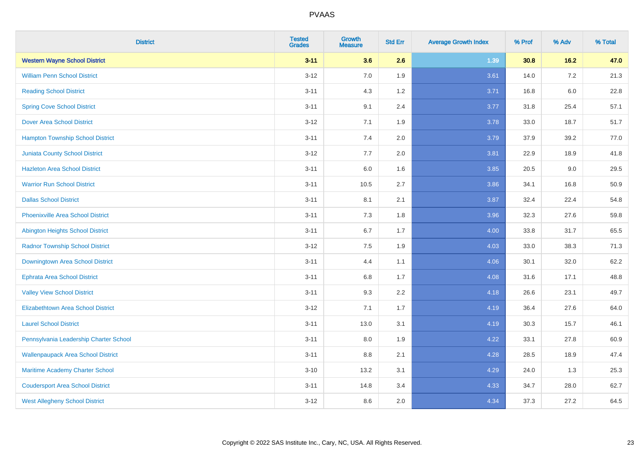| <b>District</b>                           | <b>Tested</b><br><b>Grades</b> | <b>Growth</b><br><b>Measure</b> | <b>Std Err</b> | <b>Average Growth Index</b> | % Prof | % Adv   | % Total |
|-------------------------------------------|--------------------------------|---------------------------------|----------------|-----------------------------|--------|---------|---------|
| <b>Western Wayne School District</b>      | $3 - 11$                       | 3.6                             | 2.6            | 1.39                        | 30.8   | 16.2    | 47.0    |
| <b>William Penn School District</b>       | $3 - 12$                       | 7.0                             | 1.9            | 3.61                        | 14.0   | $7.2\,$ | 21.3    |
| <b>Reading School District</b>            | $3 - 11$                       | 4.3                             | 1.2            | 3.71                        | 16.8   | $6.0\,$ | 22.8    |
| <b>Spring Cove School District</b>        | $3 - 11$                       | 9.1                             | 2.4            | 3.77                        | 31.8   | 25.4    | 57.1    |
| <b>Dover Area School District</b>         | $3 - 12$                       | 7.1                             | 1.9            | 3.78                        | 33.0   | 18.7    | 51.7    |
| <b>Hampton Township School District</b>   | $3 - 11$                       | 7.4                             | 2.0            | 3.79                        | 37.9   | 39.2    | 77.0    |
| <b>Juniata County School District</b>     | $3 - 12$                       | 7.7                             | 2.0            | 3.81                        | 22.9   | 18.9    | 41.8    |
| <b>Hazleton Area School District</b>      | $3 - 11$                       | 6.0                             | 1.6            | 3.85                        | 20.5   | 9.0     | 29.5    |
| <b>Warrior Run School District</b>        | $3 - 11$                       | 10.5                            | 2.7            | 3.86                        | 34.1   | 16.8    | 50.9    |
| <b>Dallas School District</b>             | $3 - 11$                       | 8.1                             | 2.1            | 3.87                        | 32.4   | 22.4    | 54.8    |
| <b>Phoenixville Area School District</b>  | $3 - 11$                       | 7.3                             | 1.8            | 3.96                        | 32.3   | 27.6    | 59.8    |
| Abington Heights School District          | $3 - 11$                       | 6.7                             | 1.7            | 4.00                        | 33.8   | 31.7    | 65.5    |
| <b>Radnor Township School District</b>    | $3 - 12$                       | 7.5                             | 1.9            | 4.03                        | 33.0   | 38.3    | 71.3    |
| Downingtown Area School District          | $3 - 11$                       | 4.4                             | 1.1            | 4.06                        | 30.1   | 32.0    | 62.2    |
| <b>Ephrata Area School District</b>       | $3 - 11$                       | 6.8                             | 1.7            | 4.08                        | 31.6   | 17.1    | 48.8    |
| <b>Valley View School District</b>        | $3 - 11$                       | 9.3                             | 2.2            | 4.18                        | 26.6   | 23.1    | 49.7    |
| <b>Elizabethtown Area School District</b> | $3 - 12$                       | 7.1                             | 1.7            | 4.19                        | 36.4   | 27.6    | 64.0    |
| <b>Laurel School District</b>             | $3 - 11$                       | 13.0                            | 3.1            | 4.19                        | 30.3   | 15.7    | 46.1    |
| Pennsylvania Leadership Charter School    | $3 - 11$                       | 8.0                             | 1.9            | 4.22                        | 33.1   | 27.8    | 60.9    |
| <b>Wallenpaupack Area School District</b> | $3 - 11$                       | 8.8                             | 2.1            | 4.28                        | 28.5   | 18.9    | 47.4    |
| Maritime Academy Charter School           | $3 - 10$                       | 13.2                            | 3.1            | 4.29                        | 24.0   | 1.3     | 25.3    |
| <b>Coudersport Area School District</b>   | $3 - 11$                       | 14.8                            | 3.4            | 4.33                        | 34.7   | 28.0    | 62.7    |
| <b>West Allegheny School District</b>     | $3 - 12$                       | 8.6                             | 2.0            | 4.34                        | 37.3   | 27.2    | 64.5    |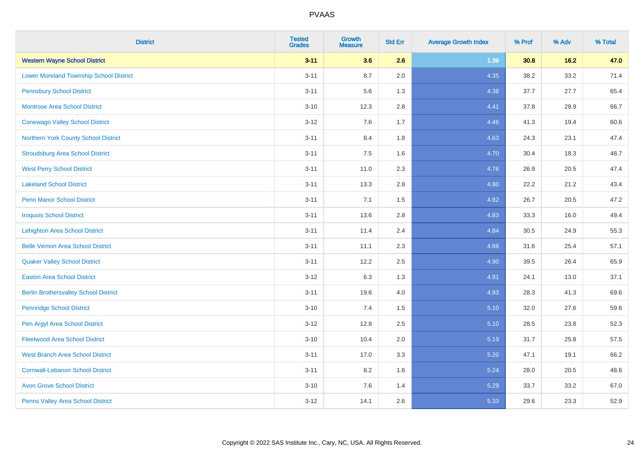| <b>District</b>                                | <b>Tested</b><br><b>Grades</b> | <b>Growth</b><br><b>Measure</b> | <b>Std Err</b> | <b>Average Growth Index</b> | % Prof | % Adv | % Total |
|------------------------------------------------|--------------------------------|---------------------------------|----------------|-----------------------------|--------|-------|---------|
| <b>Western Wayne School District</b>           | $3 - 11$                       | 3.6                             | 2.6            | 1.39                        | 30.8   | 16.2  | 47.0    |
| <b>Lower Moreland Township School District</b> | $3 - 11$                       | 8.7                             | 2.0            | 4.35                        | 38.2   | 33.2  | 71.4    |
| <b>Pennsbury School District</b>               | $3 - 11$                       | 5.6                             | 1.3            | 4.38                        | 37.7   | 27.7  | 65.4    |
| <b>Montrose Area School District</b>           | $3 - 10$                       | 12.3                            | 2.8            | 4.41                        | 37.8   | 28.9  | 66.7    |
| <b>Conewago Valley School District</b>         | $3 - 12$                       | 7.6                             | 1.7            | 4.46                        | 41.3   | 19.4  | 60.6    |
| Northern York County School District           | $3 - 11$                       | 8.4                             | 1.8            | 4.63                        | 24.3   | 23.1  | 47.4    |
| <b>Stroudsburg Area School District</b>        | $3 - 11$                       | 7.5                             | 1.6            | 4.70                        | 30.4   | 18.3  | 48.7    |
| <b>West Perry School District</b>              | $3 - 11$                       | 11.0                            | 2.3            | 4.76                        | 26.9   | 20.5  | 47.4    |
| <b>Lakeland School District</b>                | $3 - 11$                       | 13.3                            | 2.8            | 4.80                        | 22.2   | 21.2  | 43.4    |
| <b>Penn Manor School District</b>              | $3 - 11$                       | 7.1                             | 1.5            | 4.82                        | 26.7   | 20.5  | 47.2    |
| <b>Iroquois School District</b>                | $3 - 11$                       | 13.6                            | 2.8            | 4.83                        | 33.3   | 16.0  | 49.4    |
| <b>Lehighton Area School District</b>          | $3 - 11$                       | 11.4                            | 2.4            | 4.84                        | 30.5   | 24.9  | 55.3    |
| <b>Belle Vernon Area School District</b>       | $3 - 11$                       | 11.1                            | 2.3            | 4.88                        | 31.6   | 25.4  | 57.1    |
| <b>Quaker Valley School District</b>           | $3 - 11$                       | 12.2                            | 2.5            | 4.90                        | 39.5   | 26.4  | 65.9    |
| <b>Easton Area School District</b>             | $3 - 12$                       | 6.3                             | 1.3            | 4.91                        | 24.1   | 13.0  | 37.1    |
| <b>Berlin Brothersvalley School District</b>   | $3 - 11$                       | 19.6                            | 4.0            | 4.93                        | 28.3   | 41.3  | 69.6    |
| <b>Pennridge School District</b>               | $3 - 10$                       | 7.4                             | 1.5            | 5.10                        | 32.0   | 27.6  | 59.6    |
| Pen Argyl Area School District                 | $3 - 12$                       | 12.8                            | 2.5            | 5.10                        | 28.5   | 23.8  | 52.3    |
| <b>Fleetwood Area School District</b>          | $3 - 10$                       | 10.4                            | 2.0            | 5.19                        | 31.7   | 25.8  | 57.5    |
| <b>West Branch Area School District</b>        | $3 - 11$                       | 17.0                            | 3.3            | 5.20                        | 47.1   | 19.1  | 66.2    |
| <b>Cornwall-Lebanon School District</b>        | $3 - 11$                       | 8.2                             | 1.6            | 5.24                        | 28.0   | 20.5  | 48.6    |
| <b>Avon Grove School District</b>              | $3 - 10$                       | 7.6                             | 1.4            | 5.29                        | 33.7   | 33.2  | 67.0    |
| Penns Valley Area School District              | $3 - 12$                       | 14.1                            | 2.6            | 5.33                        | 29.6   | 23.3  | 52.9    |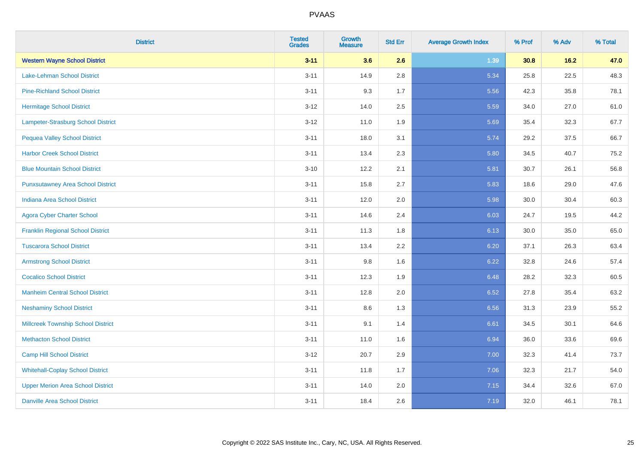| <b>District</b>                           | <b>Tested</b><br><b>Grades</b> | <b>Growth</b><br><b>Measure</b> | <b>Std Err</b> | <b>Average Growth Index</b> | % Prof | % Adv  | % Total |
|-------------------------------------------|--------------------------------|---------------------------------|----------------|-----------------------------|--------|--------|---------|
| <b>Western Wayne School District</b>      | $3 - 11$                       | 3.6                             | 2.6            | 1.39                        | 30.8   | $16.2$ | 47.0    |
| Lake-Lehman School District               | $3 - 11$                       | 14.9                            | 2.8            | 5.34                        | 25.8   | 22.5   | 48.3    |
| <b>Pine-Richland School District</b>      | $3 - 11$                       | 9.3                             | 1.7            | 5.56                        | 42.3   | 35.8   | 78.1    |
| <b>Hermitage School District</b>          | $3 - 12$                       | 14.0                            | 2.5            | 5.59                        | 34.0   | 27.0   | 61.0    |
| Lampeter-Strasburg School District        | $3-12$                         | 11.0                            | 1.9            | 5.69                        | 35.4   | 32.3   | 67.7    |
| <b>Pequea Valley School District</b>      | $3 - 11$                       | 18.0                            | 3.1            | 5.74                        | 29.2   | 37.5   | 66.7    |
| <b>Harbor Creek School District</b>       | $3 - 11$                       | 13.4                            | 2.3            | 5.80                        | 34.5   | 40.7   | 75.2    |
| <b>Blue Mountain School District</b>      | $3 - 10$                       | 12.2                            | 2.1            | 5.81                        | 30.7   | 26.1   | 56.8    |
| <b>Punxsutawney Area School District</b>  | $3 - 11$                       | 15.8                            | 2.7            | 5.83                        | 18.6   | 29.0   | 47.6    |
| <b>Indiana Area School District</b>       | $3 - 11$                       | 12.0                            | 2.0            | 5.98                        | 30.0   | 30.4   | 60.3    |
| <b>Agora Cyber Charter School</b>         | $3 - 11$                       | 14.6                            | 2.4            | 6.03                        | 24.7   | 19.5   | 44.2    |
| <b>Franklin Regional School District</b>  | $3 - 11$                       | 11.3                            | 1.8            | 6.13                        | 30.0   | 35.0   | 65.0    |
| <b>Tuscarora School District</b>          | $3 - 11$                       | 13.4                            | 2.2            | 6.20                        | 37.1   | 26.3   | 63.4    |
| <b>Armstrong School District</b>          | $3 - 11$                       | 9.8                             | 1.6            | 6.22                        | 32.8   | 24.6   | 57.4    |
| <b>Cocalico School District</b>           | $3 - 11$                       | 12.3                            | 1.9            | 6.48                        | 28.2   | 32.3   | 60.5    |
| <b>Manheim Central School District</b>    | $3 - 11$                       | 12.8                            | 2.0            | 6.52                        | 27.8   | 35.4   | 63.2    |
| <b>Neshaminy School District</b>          | $3 - 11$                       | 8.6                             | 1.3            | 6.56                        | 31.3   | 23.9   | 55.2    |
| <b>Millcreek Township School District</b> | $3 - 11$                       | 9.1                             | 1.4            | 6.61                        | 34.5   | 30.1   | 64.6    |
| <b>Methacton School District</b>          | $3 - 11$                       | 11.0                            | 1.6            | 6.94                        | 36.0   | 33.6   | 69.6    |
| <b>Camp Hill School District</b>          | $3-12$                         | 20.7                            | 2.9            | 7.00                        | 32.3   | 41.4   | 73.7    |
| <b>Whitehall-Coplay School District</b>   | $3 - 11$                       | 11.8                            | 1.7            | 7.06                        | 32.3   | 21.7   | 54.0    |
| <b>Upper Merion Area School District</b>  | $3 - 11$                       | 14.0                            | 2.0            | 7.15                        | 34.4   | 32.6   | 67.0    |
| <b>Danville Area School District</b>      | $3 - 11$                       | 18.4                            | 2.6            | 7.19                        | 32.0   | 46.1   | 78.1    |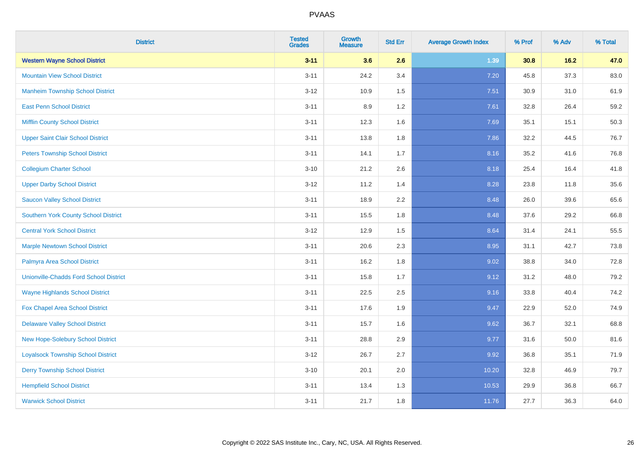| <b>District</b>                               | <b>Tested</b><br><b>Grades</b> | <b>Growth</b><br><b>Measure</b> | <b>Std Err</b> | <b>Average Growth Index</b> | % Prof | % Adv | % Total |
|-----------------------------------------------|--------------------------------|---------------------------------|----------------|-----------------------------|--------|-------|---------|
| <b>Western Wayne School District</b>          | $3 - 11$                       | 3.6                             | 2.6            | 1.39                        | 30.8   | 16.2  | 47.0    |
| <b>Mountain View School District</b>          | $3 - 11$                       | 24.2                            | 3.4            | 7.20                        | 45.8   | 37.3  | 83.0    |
| <b>Manheim Township School District</b>       | $3 - 12$                       | 10.9                            | 1.5            | 7.51                        | 30.9   | 31.0  | 61.9    |
| <b>East Penn School District</b>              | $3 - 11$                       | 8.9                             | 1.2            | 7.61                        | 32.8   | 26.4  | 59.2    |
| <b>Mifflin County School District</b>         | $3 - 11$                       | 12.3                            | 1.6            | 7.69                        | 35.1   | 15.1  | 50.3    |
| <b>Upper Saint Clair School District</b>      | $3 - 11$                       | 13.8                            | 1.8            | 7.86                        | 32.2   | 44.5  | 76.7    |
| <b>Peters Township School District</b>        | $3 - 11$                       | 14.1                            | 1.7            | 8.16                        | 35.2   | 41.6  | 76.8    |
| <b>Collegium Charter School</b>               | $3 - 10$                       | 21.2                            | 2.6            | 8.18                        | 25.4   | 16.4  | 41.8    |
| <b>Upper Darby School District</b>            | $3 - 12$                       | 11.2                            | 1.4            | 8.28                        | 23.8   | 11.8  | 35.6    |
| <b>Saucon Valley School District</b>          | $3 - 11$                       | 18.9                            | 2.2            | 8.48                        | 26.0   | 39.6  | 65.6    |
| <b>Southern York County School District</b>   | $3 - 11$                       | 15.5                            | 1.8            | 8.48                        | 37.6   | 29.2  | 66.8    |
| <b>Central York School District</b>           | $3 - 12$                       | 12.9                            | 1.5            | 8.64                        | 31.4   | 24.1  | 55.5    |
| <b>Marple Newtown School District</b>         | $3 - 11$                       | 20.6                            | 2.3            | 8.95                        | 31.1   | 42.7  | 73.8    |
| Palmyra Area School District                  | $3 - 11$                       | 16.2                            | 1.8            | 9.02                        | 38.8   | 34.0  | 72.8    |
| <b>Unionville-Chadds Ford School District</b> | $3 - 11$                       | 15.8                            | 1.7            | 9.12                        | 31.2   | 48.0  | 79.2    |
| <b>Wayne Highlands School District</b>        | $3 - 11$                       | 22.5                            | 2.5            | 9.16                        | 33.8   | 40.4  | 74.2    |
| Fox Chapel Area School District               | $3 - 11$                       | 17.6                            | 1.9            | 9.47                        | 22.9   | 52.0  | 74.9    |
| <b>Delaware Valley School District</b>        | $3 - 11$                       | 15.7                            | 1.6            | 9.62                        | 36.7   | 32.1  | 68.8    |
| <b>New Hope-Solebury School District</b>      | $3 - 11$                       | 28.8                            | 2.9            | 9.77                        | 31.6   | 50.0  | 81.6    |
| <b>Loyalsock Township School District</b>     | $3-12$                         | 26.7                            | 2.7            | 9.92                        | 36.8   | 35.1  | 71.9    |
| <b>Derry Township School District</b>         | $3 - 10$                       | 20.1                            | 2.0            | 10.20                       | 32.8   | 46.9  | 79.7    |
| <b>Hempfield School District</b>              | $3 - 11$                       | 13.4                            | 1.3            | 10.53                       | 29.9   | 36.8  | 66.7    |
| <b>Warwick School District</b>                | $3 - 11$                       | 21.7                            | 1.8            | 11.76                       | 27.7   | 36.3  | 64.0    |